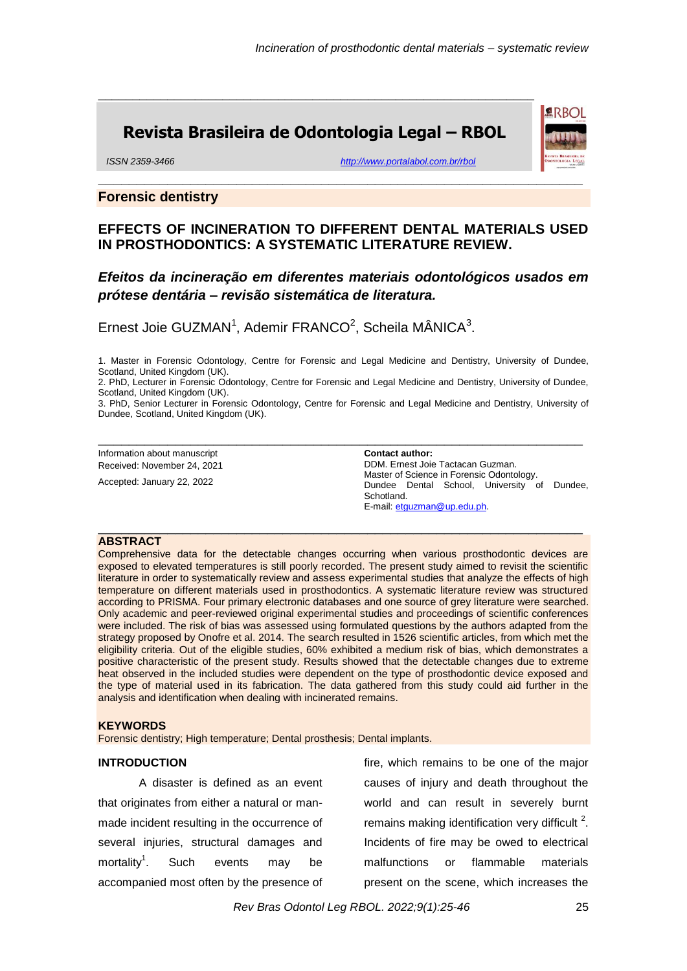**ARBOL** 

# **Revista Brasileira de Odontologia Legal – RBOL**

\_\_\_\_\_\_\_\_\_\_\_\_\_\_\_\_\_\_\_\_\_\_\_\_\_\_\_\_\_\_\_\_\_\_\_\_\_\_\_\_\_\_\_\_\_\_\_\_\_\_\_\_\_\_\_\_\_\_\_\_\_\_\_

*ISSN 2359-3466 <http://www.portalabol.com.br/rbol>*

### **Forensic dentistry**

# **EFFECTS OF INCINERATION TO DIFFERENT DENTAL MATERIALS USED IN PROSTHODONTICS: A SYSTEMATIC LITERATURE REVIEW.**

**\_\_\_\_\_\_\_\_\_\_\_\_\_\_\_\_\_\_\_\_\_\_\_\_\_\_\_\_\_\_\_\_\_\_\_\_\_\_\_\_\_\_\_\_\_\_\_\_\_\_\_\_\_\_\_\_\_\_\_\_\_\_\_**

# *Efeitos da incineração em diferentes materiais odontológicos usados em prótese dentária – revisão sistemática de literatura.*

Ernest Joie GUZMAN<sup>1</sup>, Ademir FRANCO<sup>2</sup>, Scheila MÂNICA<sup>3</sup>.

1. Master in Forensic Odontology, Centre for Forensic and Legal Medicine and Dentistry, University of Dundee, Scotland, United Kingdom (UK).

2. PhD, Lecturer in Forensic Odontology, Centre for Forensic and Legal Medicine and Dentistry, University of Dundee, Scotland, United Kingdom (UK).

3. PhD, Senior Lecturer in Forensic Odontology, Centre for Forensic and Legal Medicine and Dentistry, University of Dundee, Scotland, United Kingdom (UK).

\_\_\_\_\_\_\_\_\_\_\_\_\_\_\_\_\_\_\_\_\_\_\_\_\_\_\_\_\_\_\_\_\_\_\_\_\_\_\_\_\_\_\_\_\_\_\_\_\_\_\_\_\_\_\_\_\_\_\_\_\_\_\_

\_\_\_\_\_\_\_\_\_\_\_\_\_\_\_\_\_\_\_\_\_\_\_\_\_\_\_\_\_\_\_\_\_\_\_\_\_\_\_\_\_\_\_\_\_\_\_\_\_\_\_\_\_\_\_\_\_\_\_\_\_\_\_

Information about manuscript Received: November 24, 2021

Accepted: January 22, 2022

**Contact author:**  DDM. Ernest Joie Tactacan Guzman. Master of Science in Forensic Odontology. Dundee Dental School, University of Dundee, Schotland. E-mail: [etguzman@up.edu.ph.](mailto:etguzman@up.edu.ph)

### **ABSTRACT**

Comprehensive data for the detectable changes occurring when various prosthodontic devices are exposed to elevated temperatures is still poorly recorded. The present study aimed to revisit the scientific literature in order to systematically review and assess experimental studies that analyze the effects of high temperature on different materials used in prosthodontics. A systematic literature review was structured according to PRISMA. Four primary electronic databases and one source of grey literature were searched. Only academic and peer-reviewed original experimental studies and proceedings of scientific conferences were included. The risk of bias was assessed using formulated questions by the authors adapted from the strategy proposed by Onofre et al. 2014. The search resulted in 1526 scientific articles, from which met the eligibility criteria. Out of the eligible studies, 60% exhibited a medium risk of bias, which demonstrates a positive characteristic of the present study. Results showed that the detectable changes due to extreme heat observed in the included studies were dependent on the type of prosthodontic device exposed and the type of material used in its fabrication. The data gathered from this study could aid further in the analysis and identification when dealing with incinerated remains.

#### **KEYWORDS**

Forensic dentistry; High temperature; Dental prosthesis; Dental implants.

#### **INTRODUCTION**

A disaster is defined as an event that originates from either a natural or manmade incident resulting in the occurrence of several injuries, structural damages and mortality<sup>1</sup>. Such events may be accompanied most often by the presence of

fire, which remains to be one of the major causes of injury and death throughout the world and can result in severely burnt remains making identification very difficult  $2$ . Incidents of fire may be owed to electrical malfunctions or flammable materials present on the scene, which increases the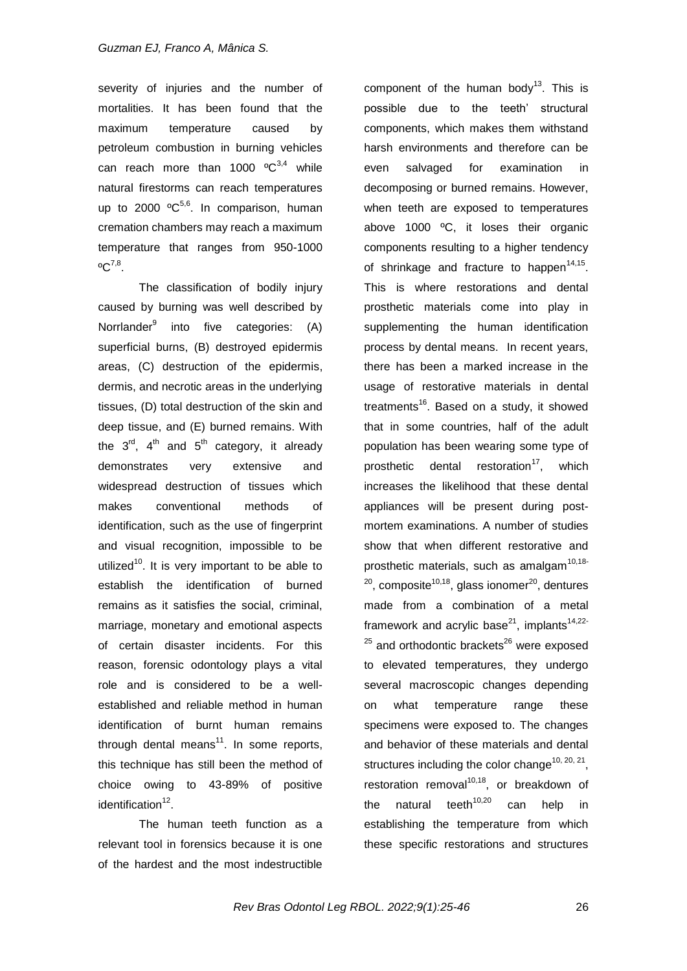severity of injuries and the number of mortalities. It has been found that the maximum temperature caused by petroleum combustion in burning vehicles can reach more than 1000  $^{\circ}C^{3,4}$  while natural firestorms can reach temperatures up to 2000  $^{\circ}C^{5,6}$ . In comparison, human cremation chambers may reach a maximum temperature that ranges from 950-1000  $^{\circ}C^{7,8}.$ 

The classification of bodily injury caused by burning was well described by Norrlander<sup>9</sup> into five categories: (A) superficial burns, (B) destroyed epidermis areas, (C) destruction of the epidermis, dermis, and necrotic areas in the underlying tissues, (D) total destruction of the skin and deep tissue, and (E) burned remains. With the  $3^{rd}$ ,  $4^{th}$  and  $5^{th}$  category, it already demonstrates very extensive and widespread destruction of tissues which makes conventional methods of identification, such as the use of fingerprint and visual recognition, impossible to be utilized<sup>10</sup>. It is very important to be able to establish the identification of burned remains as it satisfies the social, criminal, marriage, monetary and emotional aspects of certain disaster incidents. For this reason, forensic odontology plays a vital role and is considered to be a wellestablished and reliable method in human identification of burnt human remains through dental means<sup>11</sup>. In some reports, this technique has still been the method of choice owing to 43-89% of positive identification<sup>12</sup>.

The human teeth function as a relevant tool in forensics because it is one of the hardest and the most indestructible

component of the human body<sup>13</sup>. This is possible due to the teeth' structural components, which makes them withstand harsh environments and therefore can be even salvaged for examination in decomposing or burned remains. However, when teeth are exposed to temperatures above 1000 ºC, it loses their organic components resulting to a higher tendency of shrinkage and fracture to happen<sup>14,15</sup>. This is where restorations and dental prosthetic materials come into play in supplementing the human identification process by dental means. In recent years, there has been a marked increase in the usage of restorative materials in dental treatments<sup>16</sup>. Based on a study, it showed that in some countries, half of the adult population has been wearing some type of prosthetic dental restoration<sup>17</sup>, which increases the likelihood that these dental appliances will be present during postmortem examinations. A number of studies show that when different restorative and prosthetic materials, such as amalgam<sup>10,18-</sup>  $20$ , composite<sup>10,18</sup>, glass ionomer<sup>20</sup>, dentures made from a combination of a metal framework and acrylic base<sup>21</sup>, implants<sup>14,22-</sup>  $25$  and orthodontic brackets<sup>26</sup> were exposed to elevated temperatures, they undergo several macroscopic changes depending on what temperature range these specimens were exposed to. The changes and behavior of these materials and dental structures including the color change<sup>10, 20, 21</sup>, restoration removal $10,18$ , or breakdown of the natural teeth<sup>10,20</sup> can help in establishing the temperature from which these specific restorations and structures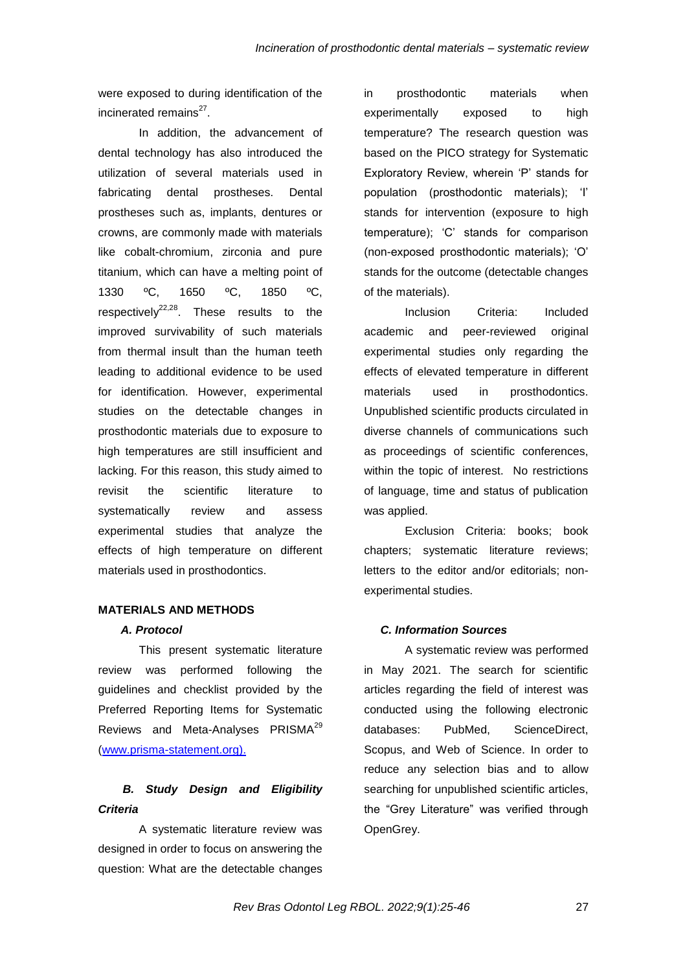were exposed to during identification of the incinerated remains<sup>27</sup>.

In addition, the advancement of dental technology has also introduced the utilization of several materials used in fabricating dental prostheses. Dental prostheses such as, implants, dentures or crowns, are commonly made with materials like cobalt-chromium, zirconia and pure titanium, which can have a melting point of 1330 ºC, 1650 ºC, 1850 ºC, respectively<sup>22,28</sup>. These results to the improved survivability of such materials from thermal insult than the human teeth leading to additional evidence to be used for identification. However, experimental studies on the detectable changes in prosthodontic materials due to exposure to high temperatures are still insufficient and lacking. For this reason, this study aimed to revisit the scientific literature to systematically review and assess experimental studies that analyze the effects of high temperature on different materials used in prosthodontics.

### **MATERIALS AND METHODS**

### *A. Protocol*

This present systematic literature review was performed following the guidelines and checklist provided by the Preferred Reporting Items for Systematic Reviews and Meta-Analyses PRISMA<sup>29</sup> (www.prisma-statement.org).

# *B. Study Design and Eligibility Criteria*

A systematic literature review was designed in order to focus on answering the question: What are the detectable changes in prosthodontic materials when experimentally exposed to high temperature? The research question was based on the PICO strategy for Systematic Exploratory Review, wherein "P" stands for population (prosthodontic materials); "I" stands for intervention (exposure to high temperature); "C" stands for comparison (non-exposed prosthodontic materials); "O" stands for the outcome (detectable changes of the materials).

Inclusion Criteria: Included academic and peer-reviewed original experimental studies only regarding the effects of elevated temperature in different materials used in prosthodontics. Unpublished scientific products circulated in diverse channels of communications such as proceedings of scientific conferences, within the topic of interest. No restrictions of language, time and status of publication was applied.

Exclusion Criteria: books; book chapters; systematic literature reviews; letters to the editor and/or editorials; nonexperimental studies.

#### *C. Information Sources*

A systematic review was performed in May 2021. The search for scientific articles regarding the field of interest was conducted using the following electronic databases: PubMed, ScienceDirect, Scopus, and Web of Science. In order to reduce any selection bias and to allow searching for unpublished scientific articles, the "Grey Literature" was verified through OpenGrey.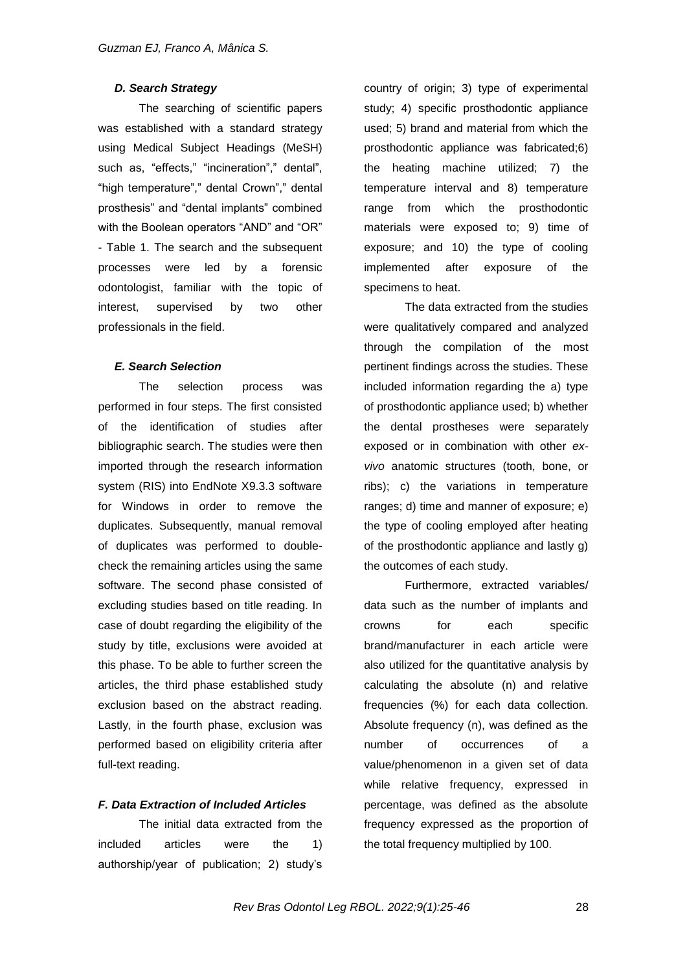### *D. Search Strategy*

The searching of scientific papers was established with a standard strategy using Medical Subject Headings (MeSH) such as, "effects," "incineration"," dental", "high temperature"," dental Crown"," dental prosthesis" and "dental implants" combined with the Boolean operators "AND" and "OR" - Table 1. The search and the subsequent processes were led by a forensic odontologist, familiar with the topic of interest, supervised by two other professionals in the field.

#### *E. Search Selection*

The selection process was performed in four steps. The first consisted of the identification of studies after bibliographic search. The studies were then imported through the research information system (RIS) into EndNote X9.3.3 software for Windows in order to remove the duplicates. Subsequently, manual removal of duplicates was performed to doublecheck the remaining articles using the same software. The second phase consisted of excluding studies based on title reading. In case of doubt regarding the eligibility of the study by title, exclusions were avoided at this phase. To be able to further screen the articles, the third phase established study exclusion based on the abstract reading. Lastly, in the fourth phase, exclusion was performed based on eligibility criteria after full-text reading.

### *F. Data Extraction of Included Articles*

The initial data extracted from the included articles were the 1) authorship/year of publication; 2) study"s

country of origin; 3) type of experimental study; 4) specific prosthodontic appliance used; 5) brand and material from which the prosthodontic appliance was fabricated;6) the heating machine utilized; 7) the temperature interval and 8) temperature range from which the prosthodontic materials were exposed to; 9) time of exposure; and 10) the type of cooling implemented after exposure of the specimens to heat.

The data extracted from the studies were qualitatively compared and analyzed through the compilation of the most pertinent findings across the studies. These included information regarding the a) type of prosthodontic appliance used; b) whether the dental prostheses were separately exposed or in combination with other *exvivo* anatomic structures (tooth, bone, or ribs); c) the variations in temperature ranges; d) time and manner of exposure; e) the type of cooling employed after heating of the prosthodontic appliance and lastly g) the outcomes of each study.

Furthermore, extracted variables/ data such as the number of implants and crowns for each specific brand/manufacturer in each article were also utilized for the quantitative analysis by calculating the absolute (n) and relative frequencies (%) for each data collection. Absolute frequency (n), was defined as the number of occurrences of a value/phenomenon in a given set of data while relative frequency, expressed in percentage, was defined as the absolute frequency expressed as the proportion of the total frequency multiplied by 100.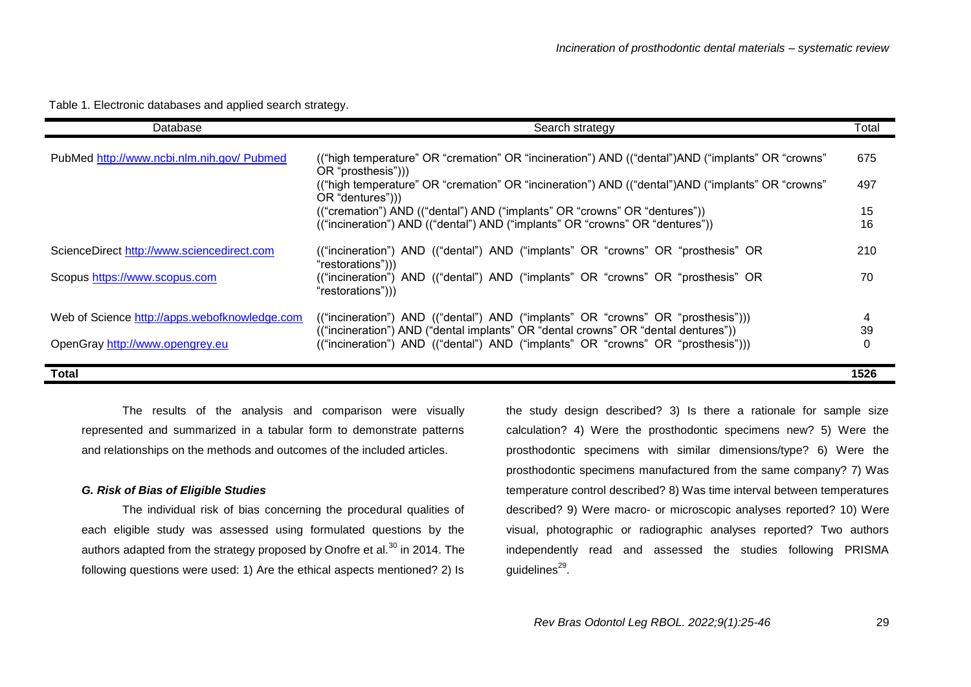| Database                                                                         | Search strategy                                                                                                                                                                                                                                                                                                                                                                                           | Total                  |
|----------------------------------------------------------------------------------|-----------------------------------------------------------------------------------------------------------------------------------------------------------------------------------------------------------------------------------------------------------------------------------------------------------------------------------------------------------------------------------------------------------|------------------------|
| PubMed http://www.ncbi.nlm.nih.gov/ Pubmed                                       | ("high temperature" OR "cremation" OR "incineration") AND ("dental")AND ("implants" OR "crowns"<br>OR "prosthesis"))<br>("high temperature" OR "cremation" OR "incineration") AND ("dental") AND ("implants" OR "crowns"<br>OR "dentures"))<br>("cremation") AND (("dental") AND ("implants" OR "crowns" OR "dentures"))<br>(("incineration") AND (("dental") AND ("implants" OR "crowns" OR "dentures")) | 675<br>497<br>15<br>16 |
| ScienceDirect http://www.sciencedirect.com<br>Scopus https://www.scopus.com      | ("incineration") AND ("dental") AND ("implants" OR "crowns" OR "prosthesis" OR<br>"restorations")))<br>("incineration") AND ("dental") AND ("implants" OR "crowns" OR "prosthesis" OR<br>"restorations")))                                                                                                                                                                                                | 210<br>70              |
| Web of Science http://apps.webofknowledge.com<br>OpenGray http://www.opengrey.eu | ("incineration") AND (("dental") AND ("implants" OR "crowns" OR "prosthesis")))<br>(("incineration") AND ("dental implants" OR "dental crowns" OR "dental dentures"))<br>(("incineration") AND ("dental") AND ("implants" OR "crowns" OR "prosthesis")))                                                                                                                                                  | 4<br>39<br>0           |
| Total                                                                            |                                                                                                                                                                                                                                                                                                                                                                                                           | 1526                   |

Table 1. Electronic databases and applied search strategy.

The results of the analysis and comparison were visually represented and summarized in a tabular form to demonstrate patterns and relationships on the methods and outcomes of the included articles.

### *G. Risk of Bias of Eligible Studies*

The individual risk of bias concerning the procedural qualities of each eligible study was assessed using formulated questions by the authors adapted from the strategy proposed by Onofre et al. $^{30}$  in 2014. The following questions were used: 1) Are the ethical aspects mentioned? 2) Is the study design described? 3) Is there a rationale for sample size calculation? 4) Were the prosthodontic specimens new? 5) Were the prosthodontic specimens with similar dimensions/type? 6) Were the prosthodontic specimens manufactured from the same company? 7) Was temperature control described? 8) Was time interval between temperatures described? 9) Were macro- or microscopic analyses reported? 10) Were visual, photographic or radiographic analyses reported? Two authors independently read and assessed the studies following PRISMA guidelines<sup>29</sup>.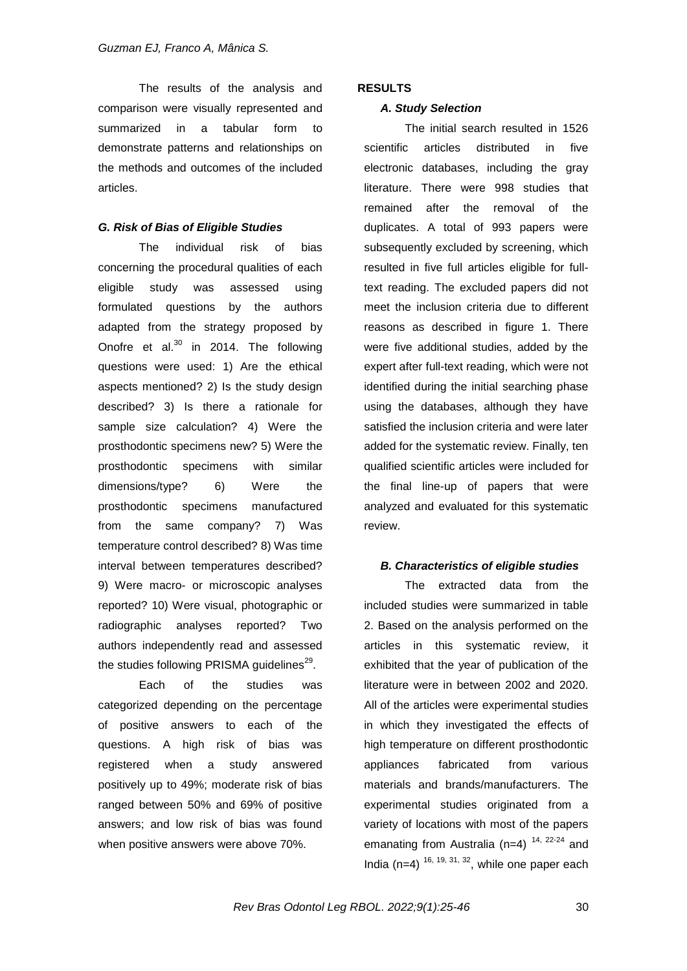The results of the analysis and comparison were visually represented and summarized in a tabular form to demonstrate patterns and relationships on the methods and outcomes of the included articles.

### *G. Risk of Bias of Eligible Studies*

The individual risk of bias concerning the procedural qualities of each eligible study was assessed using formulated questions by the authors adapted from the strategy proposed by Onofre et al. $^{30}$  in 2014. The following questions were used: 1) Are the ethical aspects mentioned? 2) Is the study design described? 3) Is there a rationale for sample size calculation? 4) Were the prosthodontic specimens new? 5) Were the prosthodontic specimens with similar dimensions/type? 6) Were the prosthodontic specimens manufactured from the same company? 7) Was temperature control described? 8) Was time interval between temperatures described? 9) Were macro- or microscopic analyses reported? 10) Were visual, photographic or radiographic analyses reported? Two authors independently read and assessed the studies following PRISMA guidelines $^{29}$ .

Each of the studies was categorized depending on the percentage of positive answers to each of the questions. A high risk of bias was registered when a study answered positively up to 49%; moderate risk of bias ranged between 50% and 69% of positive answers; and low risk of bias was found when positive answers were above 70%.

### **RESULTS**

### *A. Study Selection*

The initial search resulted in 1526 scientific articles distributed in five electronic databases, including the gray literature. There were 998 studies that remained after the removal of the duplicates. A total of 993 papers were subsequently excluded by screening, which resulted in five full articles eligible for fulltext reading. The excluded papers did not meet the inclusion criteria due to different reasons as described in figure 1. There were five additional studies, added by the expert after full-text reading, which were not identified during the initial searching phase using the databases, although they have satisfied the inclusion criteria and were later added for the systematic review. Finally, ten qualified scientific articles were included for the final line-up of papers that were analyzed and evaluated for this systematic review.

### *B. Characteristics of eligible studies*

The extracted data from the included studies were summarized in table 2. Based on the analysis performed on the articles in this systematic review, it exhibited that the year of publication of the literature were in between 2002 and 2020. All of the articles were experimental studies in which they investigated the effects of high temperature on different prosthodontic appliances fabricated from various materials and brands/manufacturers. The experimental studies originated from a variety of locations with most of the papers emanating from Australia (n=4)  $14$ ,  $22-24$  and India (n=4)  $16, 19, 31, 32$ , while one paper each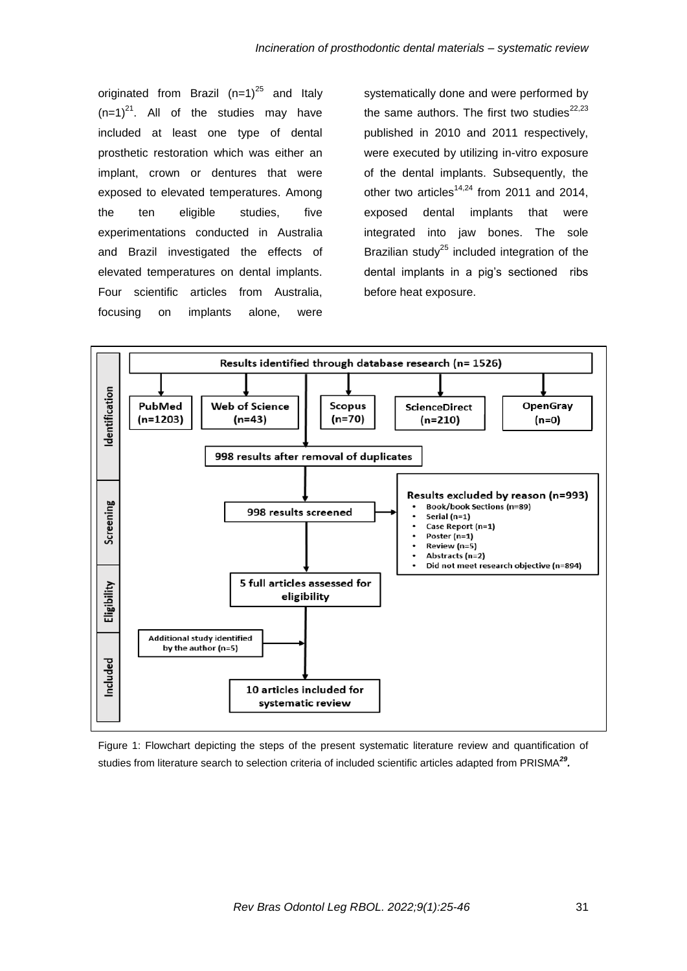originated from Brazil  $(n=1)^{25}$  and Italy  $(n=1)^{21}$ . All of the studies may have included at least one type of dental prosthetic restoration which was either an implant, crown or dentures that were exposed to elevated temperatures. Among the ten eligible studies, five experimentations conducted in Australia and Brazil investigated the effects of elevated temperatures on dental implants. Four scientific articles from Australia, focusing on implants alone, were

systematically done and were performed by the same authors. The first two studies<sup>22,23</sup> published in 2010 and 2011 respectively, were executed by utilizing in-vitro exposure of the dental implants. Subsequently, the other two articles<sup>14,24</sup> from 2011 and 2014, exposed dental implants that were integrated into jaw bones. The sole Brazilian study<sup>25</sup> included integration of the dental implants in a pig"s sectioned ribs before heat exposure.



Figure 1: Flowchart depicting the steps of the present systematic literature review and quantification of studies from literature search to selection criteria of included scientific articles adapted from PRISMA*<sup>29</sup> .*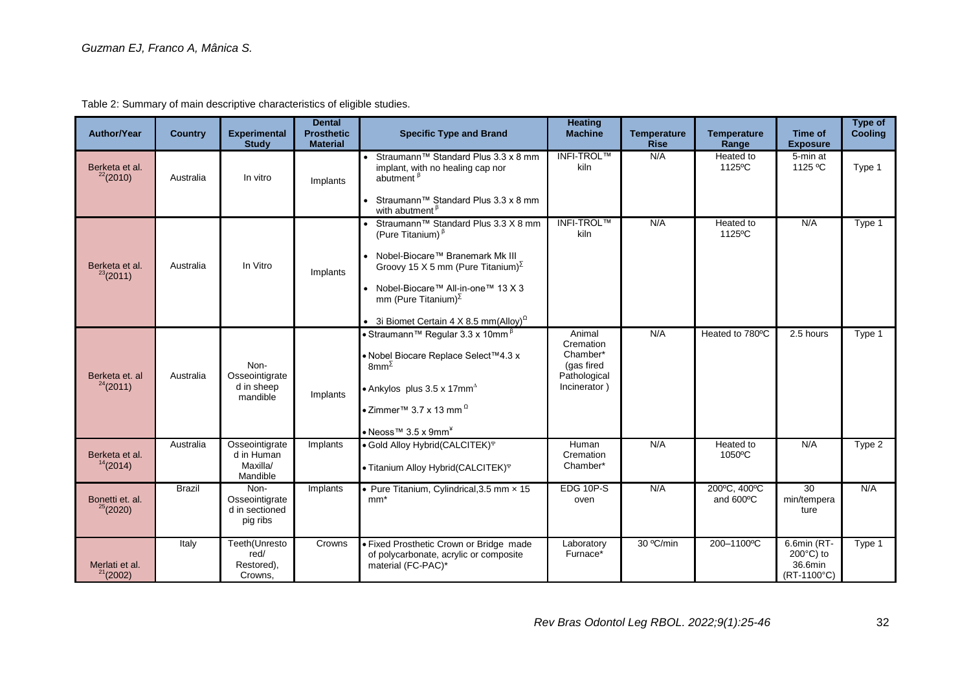| <b>Author/Year</b>              | <b>Country</b> | <b>Experimental</b><br><b>Study</b>                  | <b>Dental</b><br><b>Prosthetic</b><br><b>Material</b> | <b>Specific Type and Brand</b>                                                                                                                                                                                                                                                                               | <b>Heating</b><br><b>Machine</b>                                              | <b>Temperature</b><br><b>Rise</b> | <b>Temperature</b><br>Range | Time of<br><b>Exposure</b>                                   | Type of<br><b>Cooling</b> |
|---------------------------------|----------------|------------------------------------------------------|-------------------------------------------------------|--------------------------------------------------------------------------------------------------------------------------------------------------------------------------------------------------------------------------------------------------------------------------------------------------------------|-------------------------------------------------------------------------------|-----------------------------------|-----------------------------|--------------------------------------------------------------|---------------------------|
| Berketa et al.<br>22(2010)      | Australia      | In vitro                                             | Implants                                              | Straumann™ Standard Plus 3.3 x 8 mm<br>implant, with no healing cap nor<br>abutment $\beta$                                                                                                                                                                                                                  | <b>INFI-TROL™</b><br>kiln                                                     | N/A                               | Heated to<br>1125°C         | 5-min at<br>1125 °C                                          | Type 1                    |
|                                 |                |                                                      |                                                       | Straumann™ Standard Plus 3.3 x 8 mm<br>with abutment <sup><sup>B</sup></sup>                                                                                                                                                                                                                                 |                                                                               |                                   |                             |                                                              |                           |
| Berketa et al.<br>23(2011)      | Australia      | In Vitro                                             | Implants                                              | Straumann™ Standard Plus 3.3 X 8 mm<br>(Pure Titanium) $\beta$<br>• Nobel-Biocare™ Branemark Mk III<br>Groovy 15 X 5 mm (Pure Titanium) $\Sigma$<br>Nobel-Biocare™ All-in-one™ 13 X 3<br>$\bullet$<br>mm (Pure Titanium) $^{\Sigma}$<br>• 3i Biomet Certain 4 X 8.5 mm(Alloy) <sup><math>\Omega</math></sup> | <b>INFI-TROL™</b><br>kiln                                                     | N/A                               | Heated to<br>1125°C         | N/A                                                          | Type 1                    |
| Berketa et. al<br>$^{24}(2011)$ | Australia      | Non-<br>Osseointigrate<br>d in sheep<br>mandible     | Implants                                              | ∙ Straumann™ Regular 3.3 x 10mm $^{\text{\textsf{B}}}$<br>• Nobel Biocare Replace Select™4.3 x<br>$8mm^{\Sigma}$<br>• Ankylos plus $3.5 \times 17$ mm <sup><math>\triangle</math></sup><br>∙ Zimmer™ 3.7 x 13 mm $^{\Omega}$<br>$\bullet$ Neoss <sup>TM</sup> 3.5 x 9mm <sup>*</sup>                         | Animal<br>Cremation<br>Chamber*<br>(gas fired<br>Pathological<br>Incinerator) | N/A                               | Heated to 780°C             | 2.5 hours                                                    | Type 1                    |
| Berketa et al.<br>14(2014)      | Australia      | Osseointigrate<br>d in Human<br>Maxilla/<br>Mandible | Implants                                              | · Gold Alloy Hybrid(CALCITEK) <sup>®</sup><br>• Titanium Alloy Hybrid(CALCITEK) <sup>®</sup>                                                                                                                                                                                                                 | Human<br>Cremation<br>Chamber*                                                | N/A                               | <b>Heated</b> to<br>1050°C  | N/A                                                          | Type 2                    |
| Bonetti et. al.<br>25(2020)     | Brazil         | Non-<br>Osseointigrate<br>d in sectioned<br>pig ribs | Implants                                              | Pure Titanium, Cylindrical, 3.5 mm x 15<br>$mm*$                                                                                                                                                                                                                                                             | EDG 10P-S<br>oven                                                             | N/A                               | 200°C, 400°C<br>and 600°C   | $\overline{30}$<br>min/tempera<br>ture                       | N/A                       |
| Merlati et al.<br>$21$ (2002)   | Italy          | Teeth(Unresto<br>red/<br>Restored),<br>Crowns,       | Crowns                                                | · Fixed Prosthetic Crown or Bridge made<br>of polycarbonate, acrylic or composite<br>material (FC-PAC)*                                                                                                                                                                                                      | Laboratory<br>Furnace*                                                        | 30 °C/min                         | 200-1100°C                  | 6.6min (RT-<br>$200^{\circ}$ C) to<br>36.6min<br>(RT-1100°C) | Type 1                    |

Table 2: Summary of main descriptive characteristics of eligible studies.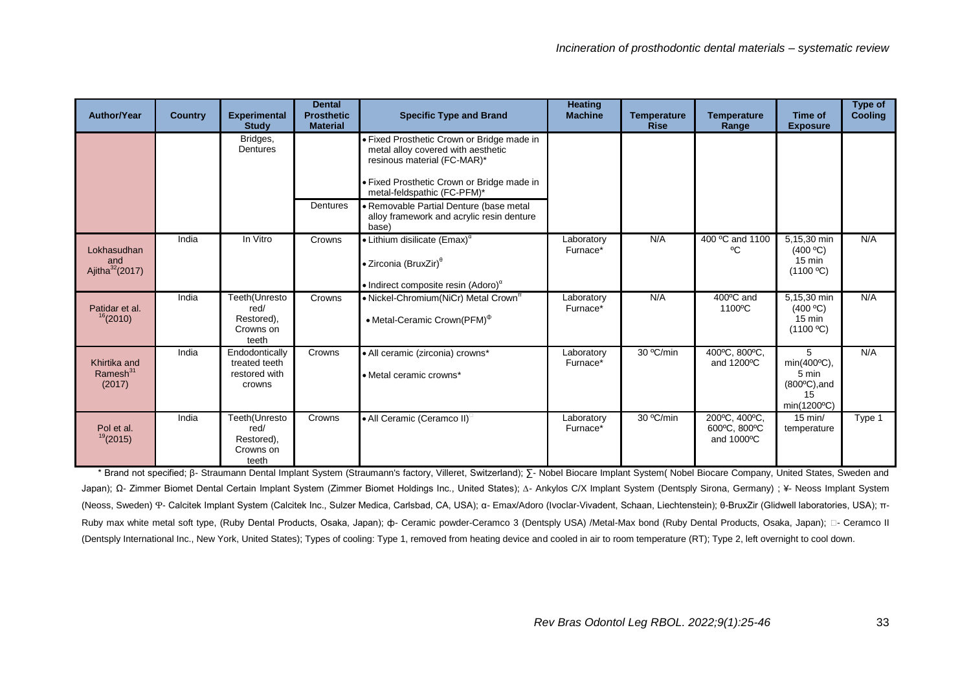| Author/Year                                    | <b>Country</b> | <b>Experimental</b><br><b>Study</b>                        | <b>Dental</b><br><b>Prosthetic</b><br><b>Material</b> | <b>Specific Type and Brand</b>                                                                                                                                                                                                                                                                | <b>Heating</b><br><b>Machine</b> | <b>Temperature</b><br><b>Rise</b> | <b>Temperature</b><br>Range                 | <b>Time of</b><br><b>Exposure</b>                                        | Type of<br><b>Cooling</b> |
|------------------------------------------------|----------------|------------------------------------------------------------|-------------------------------------------------------|-----------------------------------------------------------------------------------------------------------------------------------------------------------------------------------------------------------------------------------------------------------------------------------------------|----------------------------------|-----------------------------------|---------------------------------------------|--------------------------------------------------------------------------|---------------------------|
|                                                |                | Bridges,<br>Dentures                                       | Dentures                                              | • Fixed Prosthetic Crown or Bridge made in<br>metal alloy covered with aesthetic<br>resinous material (FC-MAR)*<br>• Fixed Prosthetic Crown or Bridge made in<br>metal-feldspathic (FC-PFM)*<br>• Removable Partial Denture (base metal<br>alloy framework and acrylic resin denture<br>base) |                                  |                                   |                                             |                                                                          |                           |
| Lokhasudhan<br>and<br>Ajitha $32(2017)$        | India          | In Vitro                                                   | Crowns                                                | $\bullet$ Lithium disilicate (Emax) <sup><math>\alpha</math></sup><br>• Zirconia (BruxZir) <sup>0</sup><br>• Indirect composite resin (Adoro) <sup><math>\alpha</math></sup>                                                                                                                  | Laboratory<br>Furnace*           | N/A                               | 400 °C and 1100<br>°C                       | 5,15,30 min<br>(400 °C)<br>$15 \text{ min}$<br>(1100 °C)                 | N/A                       |
| Patidar et al.<br>16(2010)                     | India          | Teeth(Unresto<br>red/<br>Restored),<br>Crowns on<br>teeth  | Crowns                                                | • Nickel-Chromium(NiCr) Metal Crown <sup>™</sup><br>• Metal-Ceramic Crown(PFM) <sup><math>\Phi</math></sup>                                                                                                                                                                                   | Laboratory<br>Furnace*           | N/A                               | 400°C and<br>1100°C                         | 5,15,30 min<br>(400 °C)<br>$15 \text{ min}$<br>(1100 °C)                 | N/A                       |
| Khirtika and<br>Ramesh <sup>31</sup><br>(2017) | India          | Endodontically<br>treated teeth<br>restored with<br>crowns | Crowns                                                | • All ceramic (zirconia) crowns*<br>• Metal ceramic crowns*                                                                                                                                                                                                                                   | Laboratory<br>Furnace*           | 30 °C/min                         | 400°C, 800°C,<br>and 1200°C                 | 5<br>min(400°C),<br>5 min<br>$(800^{\circ}C)$ , and<br>15<br>min(1200°C) | N/A                       |
| Pol et al.<br>19(2015)                         | India          | Teeth(Unresto<br>red/<br>Restored),<br>Crowns on<br>teeth  | Crowns                                                | • All Ceramic (Ceramco II) <sup>D</sup>                                                                                                                                                                                                                                                       | Laboratory<br>Furnace*           | 30 °C/min                         | 200°C, 400°C,<br>600°C, 800°C<br>and 1000°C | $15$ min/<br>temperature                                                 | Type 1                    |

\* Brand not specified; β- Straumann Dental Implant System (Straumann's factory, Villeret, Switzerland); ∑- Nobel Biocare Implant System( Nobel Biocare Company, United States, Sweden and Japan); Ω- Zimmer Biomet Dental Certain Implant System (Zimmer Biomet Holdings Inc., United States); Δ- Ankylos C/X Implant System (Dentsply Sirona, Germany) ; ¥- Neoss Implant System (Neoss, Sweden) Ⴔ- Calcitek Implant System (Calcitek Inc., Sulzer Medica, Carlsbad, CA, USA); α- Emax/Adoro (Ivoclar-Vivadent, Schaan, Liechtenstein); θ-BruxZir (Glidwell laboratories, USA); π-Ruby max white metal soft type, (Ruby Dental Products, Osaka, Japan); ф- Ceramic powder-Ceramco 3 (Dentsply USA) /Metal-Max bond (Ruby Dental Products, Osaka, Japan); □- Ceramco II (Dentsply International Inc., New York, United States); Types of cooling: Type 1, removed from heating device and cooled in air to room temperature (RT); Type 2, left overnight to cool down.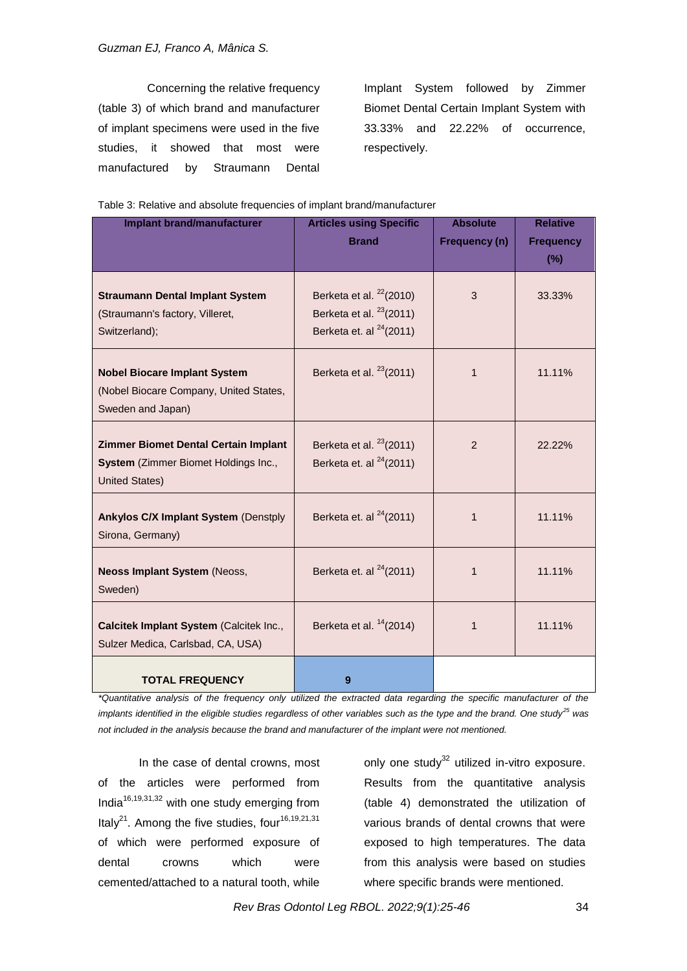Concerning the relative frequency (table 3) of which brand and manufacturer of implant specimens were used in the five studies, it showed that most were manufactured by Straumann Dental

Implant System followed by Zimmer Biomet Dental Certain Implant System with 33.33% and 22.22% of occurrence, respectively.

|  | Table 3: Relative and absolute frequencies of implant brand/manufacturer |
|--|--------------------------------------------------------------------------|
|  |                                                                          |

| <b>Implant brand/manufacturer</b>                                                                     | <b>Articles using Specific</b>                                                          | <b>Absolute</b> | <b>Relative</b>  |  |
|-------------------------------------------------------------------------------------------------------|-----------------------------------------------------------------------------------------|-----------------|------------------|--|
|                                                                                                       | <b>Brand</b>                                                                            | Frequency (n)   | <b>Frequency</b> |  |
|                                                                                                       |                                                                                         |                 | $(\% )$          |  |
| <b>Straumann Dental Implant System</b><br>(Straumann's factory, Villeret,<br>Switzerland);            | Berketa et al. $22(2010)$<br>Berketa et al. $23(2011)$<br>Berketa et. al $^{24}$ (2011) | 3               | 33.33%           |  |
| <b>Nobel Biocare Implant System</b><br>(Nobel Biocare Company, United States,<br>Sweden and Japan)    | Berketa et al. $^{23}(2011)$                                                            | $\mathbf 1$     | 11.11%           |  |
| Zimmer Biomet Dental Certain Implant<br>System (Zimmer Biomet Holdings Inc.,<br><b>United States)</b> | Berketa et al. $23(2011)$<br>Berketa et. al $^{24}(2011)$                               | 2               | 22.22%           |  |
| <b>Ankylos C/X Implant System (Denstply</b><br>Sirona, Germany)                                       | Berketa et. al $^{24}$ (2011)                                                           | 1               | 11.11%           |  |
| <b>Neoss Implant System (Neoss,</b><br>Sweden)                                                        | Berketa et. al $^{24}$ (2011)                                                           | 1               | 11.11%           |  |
| Calcitek Implant System (Calcitek Inc.,<br>Sulzer Medica, Carlsbad, CA, USA)                          | Berketa et al. $14(2014)$                                                               | 1               | 11.11%           |  |
| <b>TOTAL FREQUENCY</b>                                                                                | 9                                                                                       |                 |                  |  |

*\*Quantitative analysis of the frequency only utilized the extracted data regarding the specific manufacturer of the implants identified in the eligible studies regardless of other variables such as the type and the brand. One study<sup>25</sup> was not included in the analysis because the brand and manufacturer of the implant were not mentioned.*

In the case of dental crowns, most of the articles were performed from India16,19,31,32 with one study emerging from Italy $^{21}$ . Among the five studies, four<sup>16,19,21,31</sup> of which were performed exposure of dental crowns which were cemented/attached to a natural tooth, while

only one study $32$  utilized in-vitro exposure. Results from the quantitative analysis (table 4) demonstrated the utilization of various brands of dental crowns that were exposed to high temperatures. The data from this analysis were based on studies where specific brands were mentioned.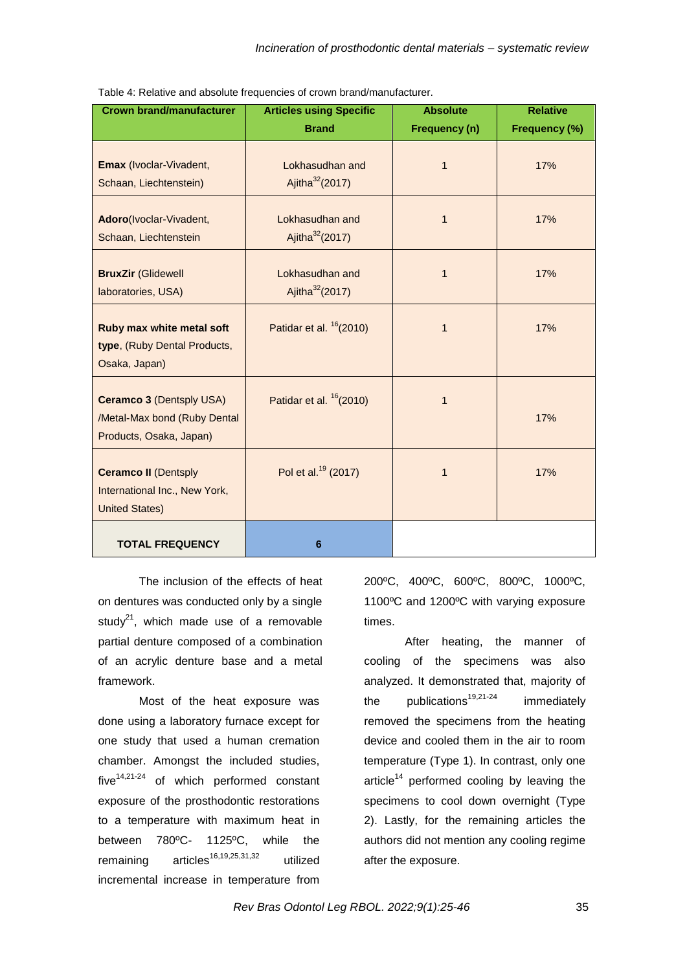| <b>Crown brand/manufacturer</b>                                                            | <b>Articles using Specific</b>                 | <b>Absolute</b> | <b>Relative</b> |
|--------------------------------------------------------------------------------------------|------------------------------------------------|-----------------|-----------------|
|                                                                                            | <b>Brand</b>                                   | Frequency (n)   | Frequency (%)   |
| Emax (Ivoclar-Vivadent,<br>Schaan, Liechtenstein)                                          | Lokhasudhan and<br>Ajitha <sup>32</sup> (2017) | $\overline{1}$  | 17%             |
| Adoro(Ivoclar-Vivadent,<br>Schaan, Liechtenstein                                           | Lokhasudhan and<br>Ajitha <sup>32</sup> (2017) | $\mathbf{1}$    | 17%             |
| <b>BruxZir (Glidewell</b><br>laboratories, USA)                                            | Lokhasudhan and<br>Ajitha <sup>32</sup> (2017) | 1               | 17%             |
| Ruby max white metal soft<br>type, (Ruby Dental Products,<br>Osaka, Japan)                 | Patidar et al. $16(2010)$                      | 1               | 17%             |
| <b>Ceramco 3 (Dentsply USA)</b><br>/Metal-Max bond (Ruby Dental<br>Products, Osaka, Japan) | Patidar et al. $16(2010)$                      | $\mathbf{1}$    | 17%             |
| <b>Ceramco II (Dentsply</b><br>International Inc., New York,<br><b>United States)</b>      | Pol et al. <sup>19</sup> (2017)                | $\mathbf{1}$    | 17%             |
| <b>TOTAL FREQUENCY</b>                                                                     | 6                                              |                 |                 |

Table 4: Relative and absolute frequencies of crown brand/manufacturer.

The inclusion of the effects of heat on dentures was conducted only by a single study<sup>21</sup>, which made use of a removable partial denture composed of a combination of an acrylic denture base and a metal framework.

Most of the heat exposure was done using a laboratory furnace except for one study that used a human cremation chamber. Amongst the included studies,  $five^{14,21-24}$  of which performed constant exposure of the prosthodontic restorations to a temperature with maximum heat in between 780ºC- 1125ºC, while the remaining  $aricles^{16,19,25,31,32}$  utilized incremental increase in temperature from

200ºC, 400ºC, 600ºC, 800ºC, 1000ºC, 1100ºC and 1200ºC with varying exposure times.

After heating, the manner of cooling of the specimens was also analyzed. It demonstrated that, majority of the publications<sup>19,21-24</sup> immediately removed the specimens from the heating device and cooled them in the air to room temperature (Type 1). In contrast, only one article<sup>14</sup> performed cooling by leaving the specimens to cool down overnight (Type 2). Lastly, for the remaining articles the authors did not mention any cooling regime after the exposure.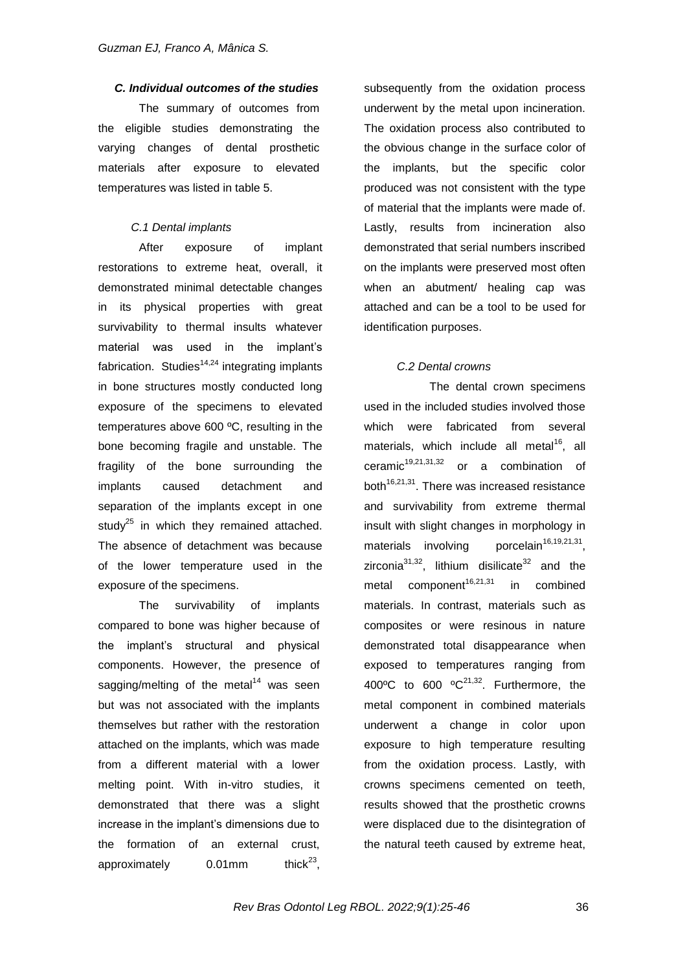### *C. Individual outcomes of the studies*

The summary of outcomes from the eligible studies demonstrating the varying changes of dental prosthetic materials after exposure to elevated temperatures was listed in table 5.

### *C.1 Dental implants*

After exposure of implant restorations to extreme heat, overall, it demonstrated minimal detectable changes in its physical properties with great survivability to thermal insults whatever material was used in the implant"s fabrication. Studies<sup>14,24</sup> integrating implants in bone structures mostly conducted long exposure of the specimens to elevated temperatures above 600 ºC, resulting in the bone becoming fragile and unstable. The fragility of the bone surrounding the implants caused detachment and separation of the implants except in one study<sup>25</sup> in which they remained attached. The absence of detachment was because of the lower temperature used in the exposure of the specimens.

The survivability of implants compared to bone was higher because of the implant"s structural and physical components. However, the presence of sagging/melting of the metal $14$  was seen but was not associated with the implants themselves but rather with the restoration attached on the implants, which was made from a different material with a lower melting point. With in-vitro studies, it demonstrated that there was a slight increase in the implant"s dimensions due to the formation of an external crust, approximately  $0.01$ mm thick $^{23}$ .

subsequently from the oxidation process underwent by the metal upon incineration. The oxidation process also contributed to the obvious change in the surface color of the implants, but the specific color produced was not consistent with the type of material that the implants were made of. Lastly, results from incineration also demonstrated that serial numbers inscribed on the implants were preserved most often when an abutment/ healing cap was attached and can be a tool to be used for identification purposes.

#### *C.2 Dental crowns*

The dental crown specimens used in the included studies involved those which were fabricated from several materials, which include all metal<sup>16</sup>, all ceramic $19,21,31,32$  or a combination of both $16,21,31$ . There was increased resistance and survivability from extreme thermal insult with slight changes in morphology in materials involving porcelain<sup>16,19,21,31</sup>. zirconia $3^{31,32}$ , lithium disilicate $3^{2}$  and the metal component<sup>16,21,31</sup> in combined materials. In contrast, materials such as composites or were resinous in nature demonstrated total disappearance when exposed to temperatures ranging from 400°C to 600 °C $^{21,32}$ . Furthermore, the metal component in combined materials underwent a change in color upon exposure to high temperature resulting from the oxidation process. Lastly, with crowns specimens cemented on teeth, results showed that the prosthetic crowns were displaced due to the disintegration of the natural teeth caused by extreme heat,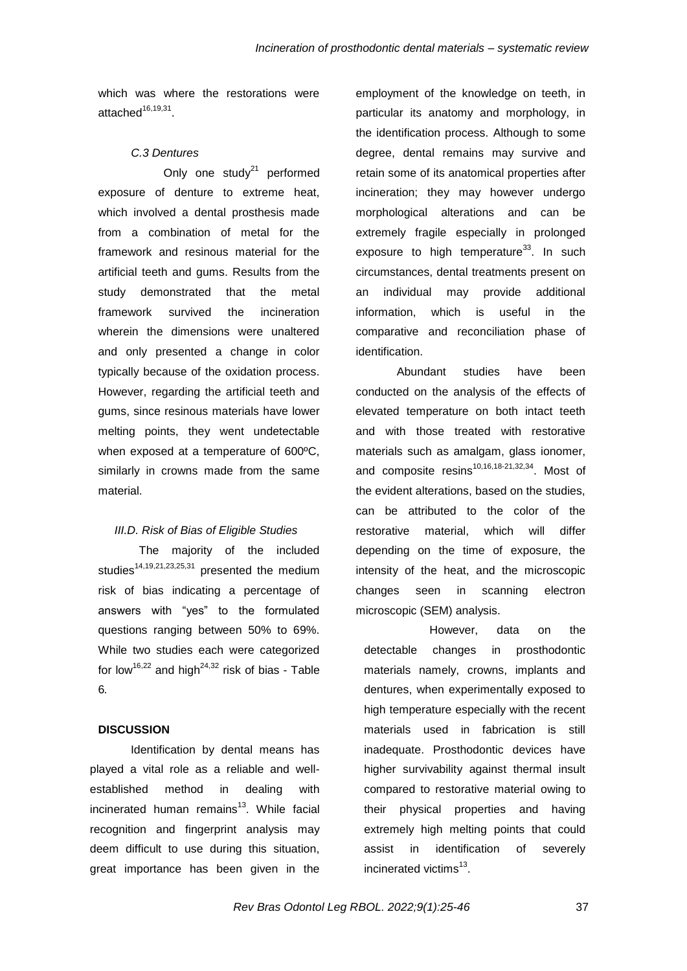which was where the restorations were attached<sup>16,19,31</sup>.

#### *C.3 Dentures*

Only one study $21$  performed exposure of denture to extreme heat, which involved a dental prosthesis made from a combination of metal for the framework and resinous material for the artificial teeth and gums. Results from the study demonstrated that the metal framework survived the incineration wherein the dimensions were unaltered and only presented a change in color typically because of the oxidation process. However, regarding the artificial teeth and gums, since resinous materials have lower melting points, they went undetectable when exposed at a temperature of 600ºC, similarly in crowns made from the same material.

#### *III.D. Risk of Bias of Eligible Studies*

The majority of the included studies<sup>14,19,21,23,25,31</sup> presented the medium risk of bias indicating a percentage of answers with "yes" to the formulated questions ranging between 50% to 69%. While two studies each were categorized for low<sup>16,22</sup> and high<sup>24,32</sup> risk of bias - Table 6*.*

### **DISCUSSION**

Identification by dental means has played a vital role as a reliable and wellestablished method in dealing with incinerated human remains<sup>13</sup>. While facial recognition and fingerprint analysis may deem difficult to use during this situation, great importance has been given in the employment of the knowledge on teeth, in particular its anatomy and morphology, in the identification process. Although to some degree, dental remains may survive and retain some of its anatomical properties after incineration; they may however undergo morphological alterations and can be extremely fragile especially in prolonged exposure to high temperature $33$ . In such circumstances, dental treatments present on an individual may provide additional information, which is useful in the comparative and reconciliation phase of identification.

Abundant studies have been conducted on the analysis of the effects of elevated temperature on both intact teeth and with those treated with restorative materials such as amalgam, glass ionomer, and composite resins $10,16,18-21,32,34$ . Most of the evident alterations, based on the studies, can be attributed to the color of the restorative material, which will differ depending on the time of exposure, the intensity of the heat, and the microscopic changes seen in scanning electron microscopic (SEM) analysis.

However, data on the detectable changes in prosthodontic materials namely, crowns, implants and dentures, when experimentally exposed to high temperature especially with the recent materials used in fabrication is still inadequate. Prosthodontic devices have higher survivability against thermal insult compared to restorative material owing to their physical properties and having extremely high melting points that could assist in identification of severely incinerated victims<sup>13</sup>.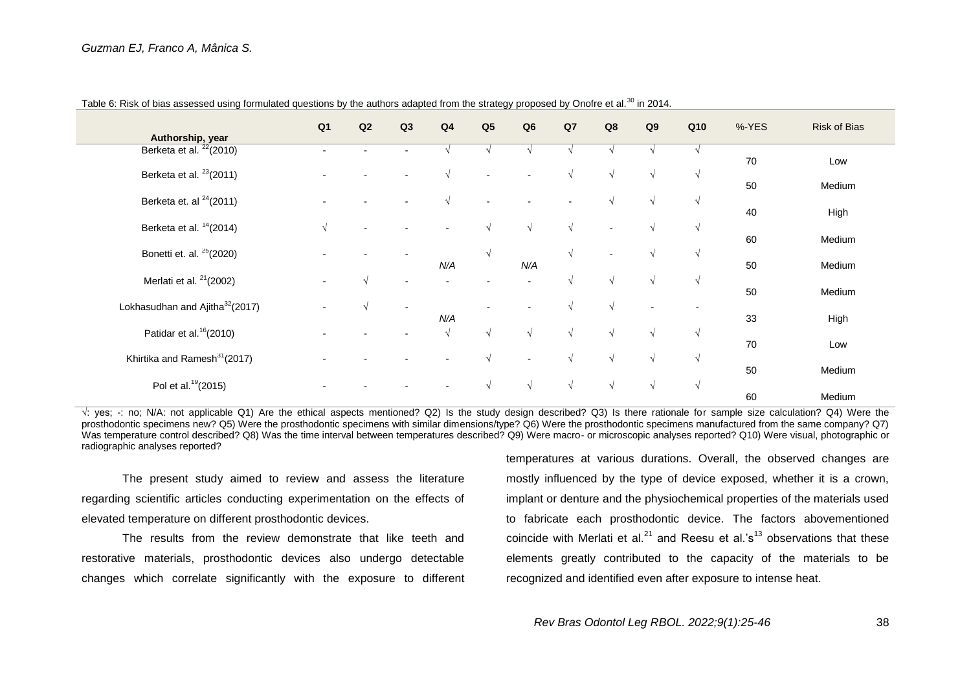| Authorship, year                            | Q <sub>1</sub> | Q2                       | Q3                       | Q <sub>4</sub> | Q <sub>5</sub> | Q6                       | Q7         | Q8                       | Q9         | Q10        | %-YES | <b>Risk of Bias</b> |
|---------------------------------------------|----------------|--------------------------|--------------------------|----------------|----------------|--------------------------|------------|--------------------------|------------|------------|-------|---------------------|
| Berketa et al. <sup>22</sup> (2010)         |                |                          |                          |                |                |                          |            |                          |            |            |       |                     |
| Berketa et al. $23(2011)$                   |                |                          |                          | $\sqrt{ }$     |                |                          | $\sqrt{ }$ | $\sqrt{ }$               | $\sqrt{ }$ | $\sqrt{ }$ | 70    | Low                 |
| Berketa et. al $24$ (2011)                  |                |                          |                          | $\sqrt{ }$     |                |                          |            |                          | $\sqrt{ }$ |            | 50    | Medium              |
|                                             |                |                          |                          |                |                |                          |            |                          |            | $\sqrt{ }$ | 40    | High                |
| Berketa et al. $14(2014)$                   | $\sqrt{ }$     | $\overline{\phantom{a}}$ |                          |                | $\sqrt{ }$     | $\sqrt{ }$               | $\sqrt{ }$ | $\overline{\phantom{a}}$ | $\sqrt{ }$ | $\sqrt{ }$ |       |                     |
|                                             |                |                          |                          |                |                |                          |            |                          |            |            | 60    | Medium              |
| Bonetti et. al. <sup>25</sup> (2020)        |                |                          |                          | N/A            | $\sqrt{ }$     | N/A                      | $\sqrt{ }$ |                          | $\sqrt{ }$ | $\sqrt{ }$ | 50    | Medium              |
| Merlati et al. <sup>21</sup> (2002)         |                | $\sqrt{ }$               | $\overline{\phantom{0}}$ |                |                |                          | $\sqrt{ }$ | $\sqrt{ }$               | $\sqrt{ }$ | $\sqrt{ }$ |       |                     |
|                                             |                |                          |                          |                |                |                          |            |                          |            |            | 50    | Medium              |
| Lokhasudhan and Ajitha <sup>32</sup> (2017) |                | $\sqrt{ }$               | $\overline{\phantom{0}}$ |                |                |                          | $\sqrt{ }$ | $\sqrt{ }$               |            |            |       |                     |
|                                             |                |                          |                          | N/A            |                |                          |            |                          |            |            | 33    | High                |
| Patidar et al. <sup>16</sup> (2010)         |                |                          | $\overline{\phantom{a}}$ | $\sqrt{ }$     | $\sqrt{ }$     | $\sqrt{ }$               | $\sqrt{ }$ | $\sqrt{ }$               | $\sqrt{ }$ | $\sqrt{ }$ | 70    | Low                 |
| Khirtika and Ramesh <sup>31</sup> (2017)    |                |                          |                          |                | $\sqrt{ }$     | $\overline{\phantom{a}}$ | $\sqrt{ }$ | V                        | $\sqrt{ }$ | $\sqrt{ }$ |       |                     |
|                                             |                |                          |                          |                |                |                          |            |                          |            |            | 50    | Medium              |
| Pol et al. <sup>19</sup> (2015)             |                |                          |                          |                | $\sqrt{ }$     | $\sqrt{ }$               | $\sqrt{ }$ | $\sqrt{ }$               | $\sqrt{ }$ | $\sqrt{ }$ |       |                     |
|                                             |                |                          |                          |                |                |                          |            |                          |            |            | 60    | Medium              |

Table 6: Risk of bias assessed using formulated questions by the authors adapted from the strategy proposed by Onofre et al.<sup>30</sup> in 2014.

 $\sqrt{2}$ : yes; -: no; N/A: not applicable Q1) Are the ethical aspects mentioned? Q2) Is the study design described? Q3) Is there rationale for sample size calculation? Q4) Were the prosthodontic specimens new? Q5) Were the prosthodontic specimens with similar dimensions/type? Q6) Were the prosthodontic specimens manufactured from the same company? Q7) Was temperature control described? Q8) Was the time interval between temperatures described? Q9) Were macro- or microscopic analyses reported? Q10) Were visual, photographic or radiographic analyses reported?

The present study aimed to review and assess the literature regarding scientific articles conducting experimentation on the effects of elevated temperature on different prosthodontic devices.

The results from the review demonstrate that like teeth and restorative materials, prosthodontic devices also undergo detectable changes which correlate significantly with the exposure to different

temperatures at various durations. Overall, the observed changes are mostly influenced by the type of device exposed, whether it is a crown, implant or denture and the physiochemical properties of the materials used to fabricate each prosthodontic device. The factors abovementioned coincide with Merlati et al.<sup>21</sup> and Reesu et al.'s<sup>13</sup> observations that these elements greatly contributed to the capacity of the materials to be recognized and identified even after exposure to intense heat.

*Rev Bras Odontol Leg RBOL. 2022;9(1):25-46* 38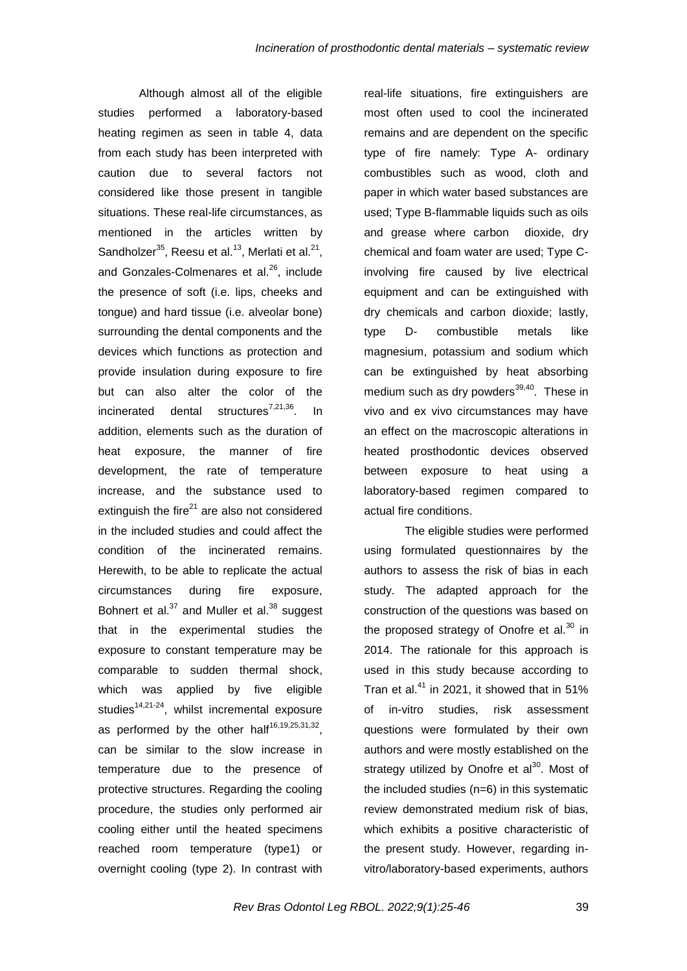Although almost all of the eligible studies performed a laboratory-based heating regimen as seen in table 4, data from each study has been interpreted with caution due to several factors not considered like those present in tangible situations. These real-life circumstances, as mentioned in the articles written by Sandholzer $^{35}$ , Reesu et al.<sup>13</sup>, Merlati et al.<sup>21</sup>, and Gonzales-Colmenares et al.<sup>26</sup>, include the presence of soft (i.e. lips, cheeks and tongue) and hard tissue (i.e. alveolar bone) surrounding the dental components and the devices which functions as protection and provide insulation during exposure to fire but can also alter the color of the incinerated dental structures<sup>7,21,36</sup>. In addition, elements such as the duration of heat exposure, the manner of fire development, the rate of temperature increase, and the substance used to extinguish the fire $21$  are also not considered in the included studies and could affect the condition of the incinerated remains. Herewith, to be able to replicate the actual circumstances during fire exposure, Bohnert et al. $37$  and Muller et al. $38$  suggest that in the experimental studies the exposure to constant temperature may be comparable to sudden thermal shock, which was applied by five eligible studies $14,21-24$ , whilst incremental exposure as performed by the other half<sup>16,19,25,31,32</sup>, can be similar to the slow increase in temperature due to the presence of protective structures. Regarding the cooling procedure, the studies only performed air cooling either until the heated specimens reached room temperature (type1) or overnight cooling (type 2). In contrast with

real-life situations, fire extinguishers are most often used to cool the incinerated remains and are dependent on the specific type of fire namely: Type A- ordinary combustibles such as wood, cloth and paper in which water based substances are used; Type B-flammable liquids such as oils and grease where carbon dioxide, dry chemical and foam water are used; Type Cinvolving fire caused by live electrical equipment and can be extinguished with dry chemicals and carbon dioxide; lastly, type D- combustible metals like magnesium, potassium and sodium which can be extinguished by heat absorbing medium such as dry powders $^{39,40}$ . These in vivo and ex vivo circumstances may have an effect on the macroscopic alterations in heated prosthodontic devices observed between exposure to heat using a laboratory-based regimen compared to actual fire conditions.

The eligible studies were performed using formulated questionnaires by the authors to assess the risk of bias in each study. The adapted approach for the construction of the questions was based on the proposed strategy of Onofre et al. $30$  in 2014. The rationale for this approach is used in this study because according to Tran et al. $41$  in 2021, it showed that in 51% of in-vitro studies, risk assessment questions were formulated by their own authors and were mostly established on the strategy utilized by Onofre et al<sup>30</sup>. Most of the included studies (n=6) in this systematic review demonstrated medium risk of bias, which exhibits a positive characteristic of the present study. However, regarding invitro/laboratory-based experiments, authors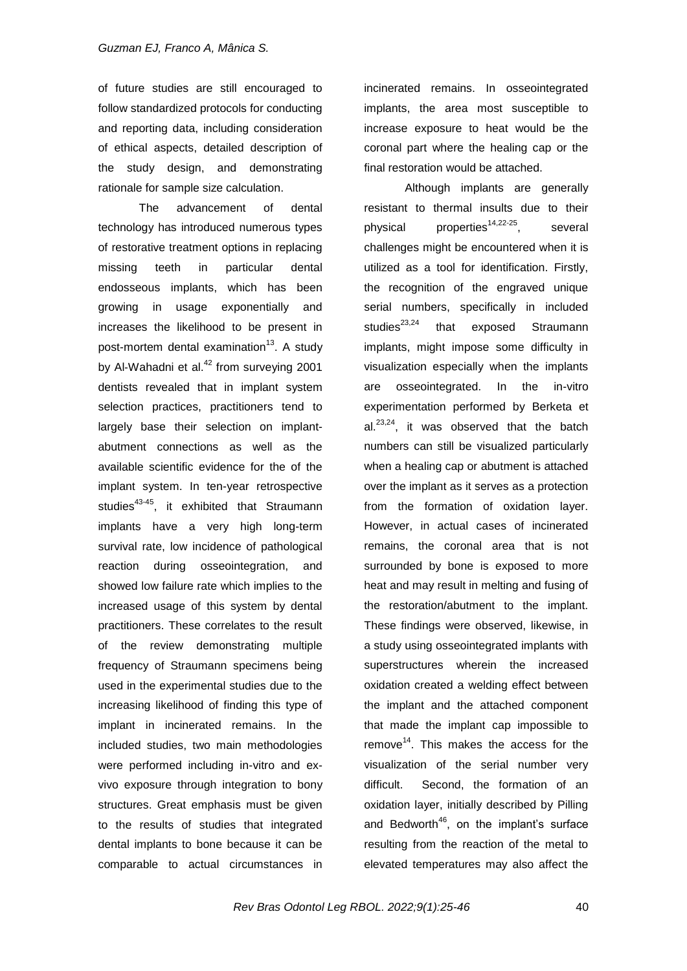of future studies are still encouraged to follow standardized protocols for conducting and reporting data, including consideration of ethical aspects, detailed description of the study design, and demonstrating rationale for sample size calculation.

The advancement of dental technology has introduced numerous types of restorative treatment options in replacing missing teeth in particular dental endosseous implants, which has been growing in usage exponentially and increases the likelihood to be present in post-mortem dental examination<sup>13</sup>. A study by Al-Wahadni et al. $42$  from surveying 2001 dentists revealed that in implant system selection practices, practitioners tend to largely base their selection on implantabutment connections as well as the available scientific evidence for the of the implant system. In ten-year retrospective studies $43-45$ , it exhibited that Straumann implants have a very high long-term survival rate, low incidence of pathological reaction during osseointegration, and showed low failure rate which implies to the increased usage of this system by dental practitioners. These correlates to the result of the review demonstrating multiple frequency of Straumann specimens being used in the experimental studies due to the increasing likelihood of finding this type of implant in incinerated remains. In the included studies, two main methodologies were performed including in-vitro and exvivo exposure through integration to bony structures. Great emphasis must be given to the results of studies that integrated dental implants to bone because it can be comparable to actual circumstances in

incinerated remains. In osseointegrated implants, the area most susceptible to increase exposure to heat would be the coronal part where the healing cap or the final restoration would be attached.

Although implants are generally resistant to thermal insults due to their physical properties<sup>14,22-25</sup>, several challenges might be encountered when it is utilized as a tool for identification. Firstly, the recognition of the engraved unique serial numbers, specifically in included studies $^{23,24}$  that exposed Straumann implants, might impose some difficulty in visualization especially when the implants are osseointegrated. In the in-vitro experimentation performed by Berketa et  $al.<sup>23,24</sup>$ , it was observed that the batch numbers can still be visualized particularly when a healing cap or abutment is attached over the implant as it serves as a protection from the formation of oxidation layer. However, in actual cases of incinerated remains, the coronal area that is not surrounded by bone is exposed to more heat and may result in melting and fusing of the restoration/abutment to the implant. These findings were observed, likewise, in a study using osseointegrated implants with superstructures wherein the increased oxidation created a welding effect between the implant and the attached component that made the implant cap impossible to  $remove<sup>14</sup>$ . This makes the access for the visualization of the serial number very difficult. Second, the formation of an oxidation layer, initially described by Pilling and Bedworth<sup>46</sup>, on the implant's surface resulting from the reaction of the metal to elevated temperatures may also affect the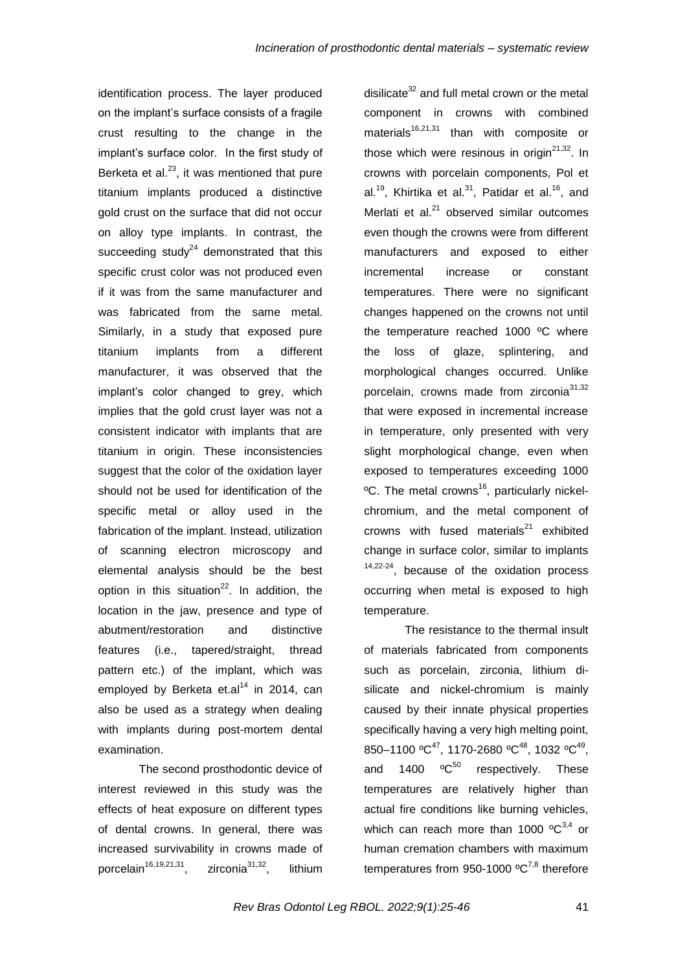identification process. The layer produced on the implant"s surface consists of a fragile crust resulting to the change in the implant"s surface color. In the first study of Berketa et al. $^{23}$ , it was mentioned that pure titanium implants produced a distinctive gold crust on the surface that did not occur on alloy type implants. In contrast, the succeeding study $^{24}$  demonstrated that this specific crust color was not produced even if it was from the same manufacturer and was fabricated from the same metal. Similarly, in a study that exposed pure titanium implants from a different manufacturer, it was observed that the implant"s color changed to grey, which implies that the gold crust layer was not a consistent indicator with implants that are titanium in origin. These inconsistencies suggest that the color of the oxidation layer should not be used for identification of the specific metal or alloy used in the fabrication of the implant. Instead, utilization of scanning electron microscopy and elemental analysis should be the best option in this situation $^{22}$ . In addition, the location in the jaw, presence and type of abutment/restoration and distinctive features (i.e., tapered/straight, thread pattern etc.) of the implant, which was employed by Berketa et. $al^{14}$  in 2014, can also be used as a strategy when dealing with implants during post-mortem dental examination.

The second prosthodontic device of interest reviewed in this study was the effects of heat exposure on different types of dental crowns. In general, there was increased survivability in crowns made of porcelain<sup>16,19,21,31</sup>, zirconia<sup>31,32</sup>, lithium

disilicate $32$  and full metal crown or the metal component in crowns with combined materials<sup>16,21,31</sup> than with composite or those which were resinous in origin<sup>21,32</sup>. In crowns with porcelain components, Pol et al.<sup>19</sup>, Khirtika et al.<sup>31</sup>, Patidar et al.<sup>16</sup>, and Merlati et al. $^{21}$  observed similar outcomes even though the crowns were from different manufacturers and exposed to either incremental increase or constant temperatures. There were no significant changes happened on the crowns not until the temperature reached 1000 ºC where the loss of glaze, splintering, and morphological changes occurred. Unlike porcelain, crowns made from zirconia<sup>31,32</sup> that were exposed in incremental increase in temperature, only presented with very slight morphological change, even when exposed to temperatures exceeding 1000 <sup>o</sup>C. The metal crowns<sup>16</sup>, particularly nickelchromium, and the metal component of crowns with fused materials $21$  exhibited change in surface color, similar to implants <sup>14,22-24</sup>, because of the oxidation process occurring when metal is exposed to high temperature.

The resistance to the thermal insult of materials fabricated from components such as porcelain, zirconia, lithium disilicate and nickel-chromium is mainly caused by their innate physical properties specifically having a very high melting point,  $850-1100 °C^{47}$ , 1170-2680 °C $^{48}$ , 1032 °C $^{49}$ , and  $1400 \, \mathrm{°C}^{50}$  respectively. These temperatures are relatively higher than actual fire conditions like burning vehicles, which can reach more than 1000  $^{\circ}C^{3,4}$  or human cremation chambers with maximum temperatures from 950-1000  $^{\circ}C^{7,8}$  therefore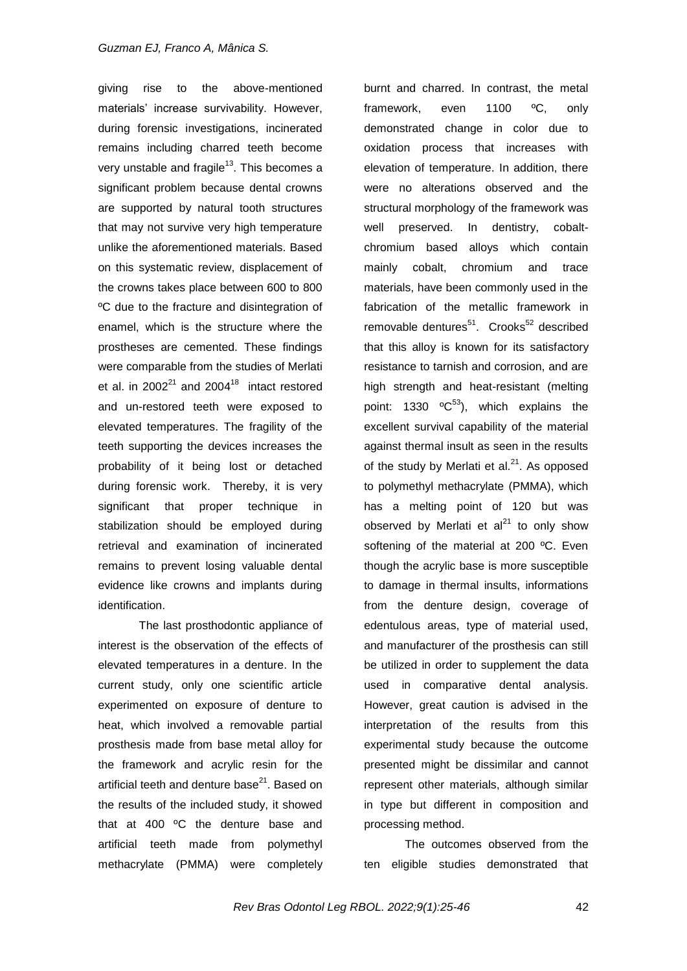giving rise to the above-mentioned materials" increase survivability. However, during forensic investigations, incinerated remains including charred teeth become very unstable and fragile<sup>13</sup>. This becomes a significant problem because dental crowns are supported by natural tooth structures that may not survive very high temperature unlike the aforementioned materials. Based on this systematic review, displacement of the crowns takes place between 600 to 800 ºC due to the fracture and disintegration of enamel, which is the structure where the prostheses are cemented. These findings were comparable from the studies of Merlati et al. in  $2002^{21}$  and  $2004^{18}$  intact restored and un-restored teeth were exposed to elevated temperatures. The fragility of the teeth supporting the devices increases the probability of it being lost or detached during forensic work. Thereby, it is very significant that proper technique in stabilization should be employed during retrieval and examination of incinerated remains to prevent losing valuable dental evidence like crowns and implants during identification.

The last prosthodontic appliance of interest is the observation of the effects of elevated temperatures in a denture. In the current study, only one scientific article experimented on exposure of denture to heat, which involved a removable partial prosthesis made from base metal alloy for the framework and acrylic resin for the artificial teeth and denture base<sup>21</sup>. Based on the results of the included study, it showed that at 400 ºC the denture base and artificial teeth made from polymethyl methacrylate (PMMA) were completely

burnt and charred. In contrast, the metal framework, even 1100 ºC, only demonstrated change in color due to oxidation process that increases with elevation of temperature. In addition, there were no alterations observed and the structural morphology of the framework was well preserved. In dentistry, cobaltchromium based alloys which contain mainly cobalt, chromium and trace materials, have been commonly used in the fabrication of the metallic framework in removable dentures<sup>51</sup>. Crooks<sup>52</sup> described that this alloy is known for its satisfactory resistance to tarnish and corrosion, and are high strength and heat-resistant (melting point: 1330  $^{\circ}C^{53}$ ), which explains the excellent survival capability of the material against thermal insult as seen in the results of the study by Merlati et al. $^{21}$ . As opposed to polymethyl methacrylate (PMMA), which has a melting point of 120 but was observed by Merlati et  $al^{21}$  to only show softening of the material at 200 °C. Even though the acrylic base is more susceptible to damage in thermal insults, informations from the denture design, coverage of edentulous areas, type of material used, and manufacturer of the prosthesis can still be utilized in order to supplement the data used in comparative dental analysis. However, great caution is advised in the interpretation of the results from this experimental study because the outcome presented might be dissimilar and cannot represent other materials, although similar in type but different in composition and processing method.

The outcomes observed from the ten eligible studies demonstrated that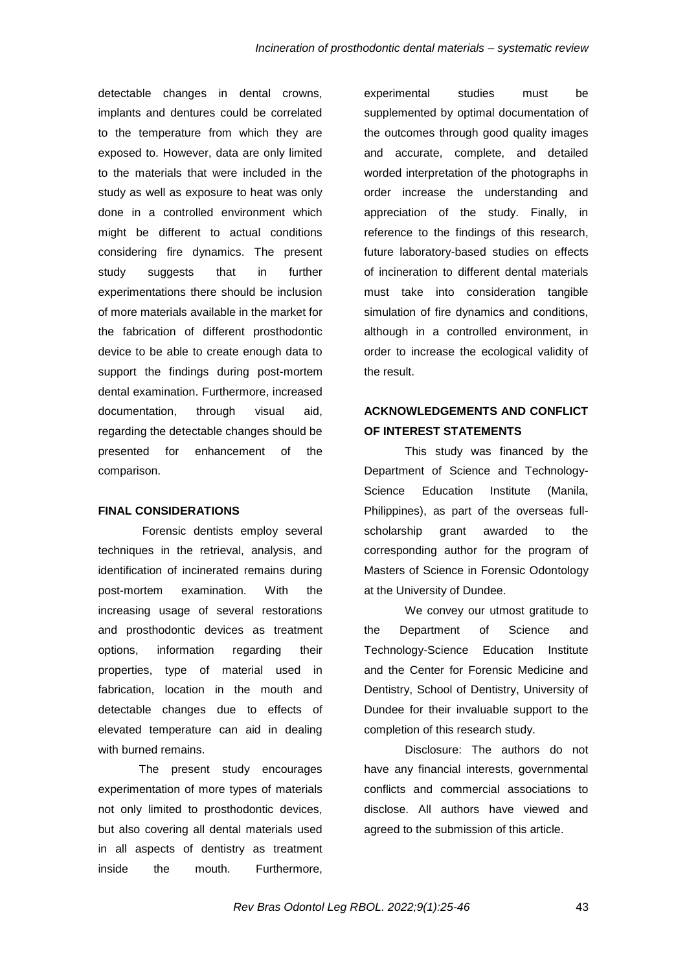detectable changes in dental crowns, implants and dentures could be correlated to the temperature from which they are exposed to. However, data are only limited to the materials that were included in the study as well as exposure to heat was only done in a controlled environment which might be different to actual conditions considering fire dynamics. The present study suggests that in further experimentations there should be inclusion of more materials available in the market for the fabrication of different prosthodontic device to be able to create enough data to support the findings during post-mortem dental examination. Furthermore, increased documentation, through visual aid, regarding the detectable changes should be presented for enhancement of the comparison.

### **FINAL CONSIDERATIONS**

Forensic dentists employ several techniques in the retrieval, analysis, and identification of incinerated remains during post-mortem examination. With the increasing usage of several restorations and prosthodontic devices as treatment options, information regarding their properties, type of material used in fabrication, location in the mouth and detectable changes due to effects of elevated temperature can aid in dealing with burned remains.

The present study encourages experimentation of more types of materials not only limited to prosthodontic devices, but also covering all dental materials used in all aspects of dentistry as treatment inside the mouth. Furthermore, experimental studies must be supplemented by optimal documentation of the outcomes through good quality images and accurate, complete, and detailed worded interpretation of the photographs in order increase the understanding and appreciation of the study. Finally, in reference to the findings of this research, future laboratory-based studies on effects of incineration to different dental materials must take into consideration tangible simulation of fire dynamics and conditions, although in a controlled environment, in order to increase the ecological validity of the result.

# **ACKNOWLEDGEMENTS AND CONFLICT OF INTEREST STATEMENTS**

This study was financed by the Department of Science and Technology-Science Education Institute (Manila, Philippines), as part of the overseas fullscholarship grant awarded to the corresponding author for the program of Masters of Science in Forensic Odontology at the University of Dundee.

We convey our utmost gratitude to the Department of Science and Technology-Science Education Institute and the Center for Forensic Medicine and Dentistry, School of Dentistry, University of Dundee for their invaluable support to the completion of this research study.

Disclosure: The authors do not have any financial interests, governmental conflicts and commercial associations to disclose. All authors have viewed and agreed to the submission of this article.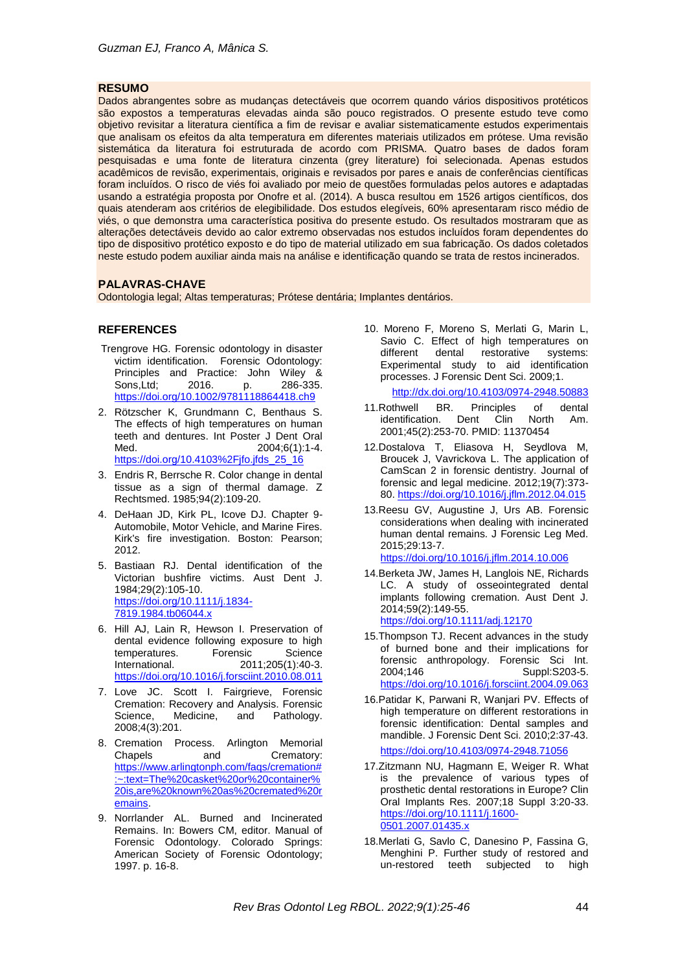### **RESUMO**

Dados abrangentes sobre as mudanças detectáveis que ocorrem quando vários dispositivos protéticos são expostos a temperaturas elevadas ainda são pouco registrados. O presente estudo teve como objetivo revisitar a literatura científica a fim de revisar e avaliar sistematicamente estudos experimentais que analisam os efeitos da alta temperatura em diferentes materiais utilizados em prótese. Uma revisão sistemática da literatura foi estruturada de acordo com PRISMA. Quatro bases de dados foram pesquisadas e uma fonte de literatura cinzenta (grey literature) foi selecionada. Apenas estudos acadêmicos de revisão, experimentais, originais e revisados por pares e anais de conferências científicas foram incluídos. O risco de viés foi avaliado por meio de questões formuladas pelos autores e adaptadas usando a estratégia proposta por Onofre et al. (2014). A busca resultou em 1526 artigos científicos, dos quais atenderam aos critérios de elegibilidade. Dos estudos elegíveis, 60% apresentaram risco médio de viés, o que demonstra uma característica positiva do presente estudo. Os resultados mostraram que as alterações detectáveis devido ao calor extremo observadas nos estudos incluídos foram dependentes do tipo de dispositivo protético exposto e do tipo de material utilizado em sua fabricação. Os dados coletados neste estudo podem auxiliar ainda mais na análise e identificação quando se trata de restos incinerados.

### **PALAVRAS-CHAVE**

Odontologia legal; Altas temperaturas; Prótese dentária; Implantes dentários.

### **REFERENCES**

- Trengrove HG. Forensic odontology in disaster victim identification. Forensic Odontology: Principles and Practice: John Wiley &<br>Sons.Ltd: 2016. p. 286-335. Sons, Ltd; 2016. p. <https://doi.org/10.1002/9781118864418.ch9>
- 2. Rötzscher K, Grundmann C, Benthaus S. The effects of high temperatures on human teeth and dentures. Int Poster J Dent Oral<br>Med. 2004:6(1):1-4.  $2004;6(1):1-4.$ [https://doi.org/10.4103%2Fjfo.jfds\\_25\\_16](https://doi.org/10.4103%2Fjfo.jfds_25_16)
- 3. Endris R, Berrsche R. Color change in dental tissue as a sign of thermal damage. Z Rechtsmed. 1985;94(2):109-20.
- 4. DeHaan JD, Kirk PL, Icove DJ. Chapter 9- Automobile, Motor Vehicle, and Marine Fires. Kirk's fire investigation. Boston: Pearson; 2012.
- 5. Bastiaan RJ. Dental identification of the Victorian bushfire victims. Aust Dent J. 1984;29(2):105-10. [https://doi.org/10.1111/j.1834-](https://doi.org/10.1111/j.1834-7819.1984.tb06044.x) [7819.1984.tb06044.x](https://doi.org/10.1111/j.1834-7819.1984.tb06044.x)
- 6. Hill AJ, Lain R, Hewson I. Preservation of dental evidence following exposure to high<br>temperatures. Forensic Science temperatures.<br>International. 2011;205(1):40-3. <https://doi.org/10.1016/j.forsciint.2010.08.011>
- 7. Love JC. Scott I. Fairgrieve, Forensic Cremation: Recovery and Analysis. Forensic Science. Medicine, and Pathology. 2008;4(3):201.
- 8. Cremation Process. Arlington Memorial Chapels and Crematory: [https://www.arlingtonph.com/faqs/cremation#](https://www.arlingtonph.com/faqs/cremation#:~:text=The%20casket%20or%20container%20is,are%20known%20as%20cremated%20remains) [:~:text=The%20casket%20or%20container%](https://www.arlingtonph.com/faqs/cremation#:~:text=The%20casket%20or%20container%20is,are%20known%20as%20cremated%20remains) [20is,are%20known%20as%20cremated%20r](https://www.arlingtonph.com/faqs/cremation#:~:text=The%20casket%20or%20container%20is,are%20known%20as%20cremated%20remains) [emains.](https://www.arlingtonph.com/faqs/cremation#:~:text=The%20casket%20or%20container%20is,are%20known%20as%20cremated%20remains)
- 9. Norrlander AL. Burned and Incinerated Remains. In: Bowers CM, editor. Manual of Forensic Odontology. Colorado Springs: American Society of Forensic Odontology; 1997. p. 16-8.

10. Moreno F, Moreno S, Merlati G, Marin L, Savio C. Effect of high temperatures on different dental restorative systems: restorative systems: Experimental study to aid identification processes. J Forensic Dent Sci. 2009;1.

<http://dx.doi.org/10.4103/0974-2948.50883>

- 11.Rothwell BR. Principles of dental<br>identification. Dent Clin North Am. identification. Dent Clin North Am. 2001;45(2):253-70. PMID: 11370454
- 12.Dostalova T, Eliasova H, Seydlova M, Broucek J, Vavrickova L. The application of CamScan 2 in forensic dentistry. Journal of forensic and legal medicine. 2012;19(7):373- 80. <https://doi.org/10.1016/j.jflm.2012.04.015>
- 13.Reesu GV, Augustine J, Urs AB. Forensic considerations when dealing with incinerated human dental remains. J Forensic Leg Med. 2015;29:13-7. <https://doi.org/10.1016/j.jflm.2014.10.006>
- 14.Berketa JW, James H, Langlois NE, Richards LC. A study of osseointegrated dental implants following cremation. Aust Dent J. 2014;59(2):149-55. <https://doi.org/10.1111/adj.12170>
- 15.Thompson TJ. Recent advances in the study of burned bone and their implications for forensic anthropology. Forensic Sci Int. 2004;146 Suppl:S203-5. <https://doi.org/10.1016/j.forsciint.2004.09.063>
- 16.Patidar K, Parwani R, Wanjari PV. Effects of high temperature on different restorations in forensic identification: Dental samples and mandible. J Forensic Dent Sci. 2010;2:37-43. <https://doi.org/10.4103/0974-2948.71056>
- 17.Zitzmann NU, Hagmann E, Weiger R. What is the prevalence of various types of prosthetic dental restorations in Europe? Clin Oral Implants Res. 2007;18 Suppl 3:20-33. [https://doi.org/10.1111/j.1600-](https://doi.org/10.1111/j.1600-0501.2007.01435.x) [0501.2007.01435.x](https://doi.org/10.1111/j.1600-0501.2007.01435.x)
- 18.Merlati G, Savlo C, Danesino P, Fassina G, Menghini P. Further study of restored and un-restored teeth subjected to high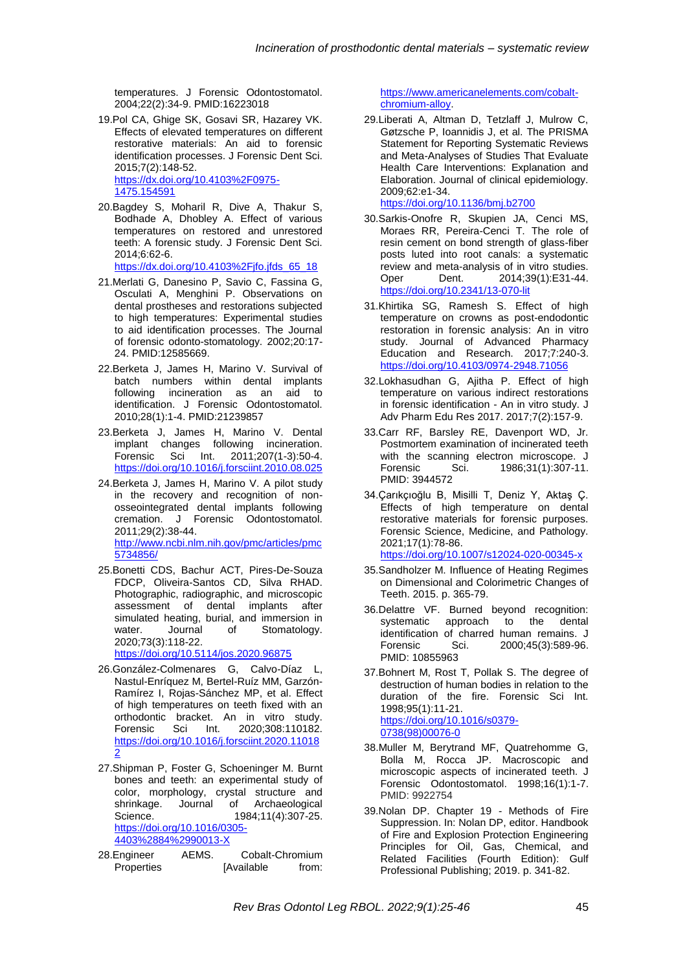temperatures. J Forensic Odontostomatol. 2004;22(2):34-9. PMID:16223018

- 19.Pol CA, Ghige SK, Gosavi SR, Hazarey VK. Effects of elevated temperatures on different restorative materials: An aid to forensic identification processes. J Forensic Dent Sci. 2015;7(2):148-52. [https://dx.doi.org/10.4103%2F0975-](https://dx.doi.org/10.4103%2F0975-1475.154591) [1475.154591](https://dx.doi.org/10.4103%2F0975-1475.154591)
- 20.Bagdey S, Moharil R, Dive A, Thakur S, Bodhade A, Dhobley A. Effect of various temperatures on restored and unrestored teeth: A forensic study. J Forensic Dent Sci. 2014;6:62-6. [https://dx.doi.org/10.4103%2Fjfo.jfds\\_65\\_18](https://dx.doi.org/10.4103%2Fjfo.jfds_65_18)
- 21.Merlati G, Danesino P, Savio C, Fassina G, Osculati A, Menghini P. Observations on dental prostheses and restorations subjected to high temperatures: Experimental studies to aid identification processes. The Journal of forensic odonto-stomatology. 2002;20:17- 24. PMID:12585669.
- 22.Berketa J, James H, Marino V. Survival of batch numbers within dental implants following incineration as an aid to identification. J Forensic Odontostomatol. 2010;28(1):1-4. PMID:21239857
- 23.Berketa J, James H, Marino V. Dental implant changes following incineration.<br>Forensic Sci Int. 2011;207(1-3):50-4. Forensic Sci Int. 2011;207(1-3):50-4. <https://doi.org/10.1016/j.forsciint.2010.08.025>
- 24.Berketa J, James H, Marino V. A pilot study in the recovery and recognition of nonosseointegrated dental implants following cremation. J Forensic Odontostomatol. 2011;29(2):38-44. [http://www.ncbi.nlm.nih.gov/pmc/articles/pmc](http://www.ncbi.nlm.nih.gov/pmc/articles/pmc5734856/) [5734856/](http://www.ncbi.nlm.nih.gov/pmc/articles/pmc5734856/)
- 25.Bonetti CDS, Bachur ACT, Pires-De-Souza FDCP, Oliveira-Santos CD, Silva RHAD. Photographic, radiographic, and microscopic assessment of dental implants after simulated heating, burial, and immersion in water. Journal of Stomatology. 2020;73(3):118-22.

<https://doi.org/10.5114/jos.2020.96875>

- 26.González-Colmenares G, Calvo-Díaz L, Nastul-Enríquez M, Bertel-Ruíz MM, Garzón-Ramírez I, Rojas-Sánchez MP, et al. Effect of high temperatures on teeth fixed with an orthodontic bracket. An in vitro study.<br>Forensic Sci Int. 2020:308:110182. Forensic Sci Int. 2020;308:110182. [https://doi.org/10.1016/j.forsciint.2020.11018](https://doi.org/10.1016/j.forsciint.2020.110182) [2](https://doi.org/10.1016/j.forsciint.2020.110182)
- 27.Shipman P, Foster G, Schoeninger M. Burnt bones and teeth: an experimental study of color, morphology, crystal structure and<br>shrinkage. Journal of Archaeological Journal of Archaeological Science. 1984;11(4):307-25. [https://doi.org/10.1016/0305-](https://doi.org/10.1016/0305-4403%2884%2990013-X) [4403%2884%2990013-X](https://doi.org/10.1016/0305-4403%2884%2990013-X)
- 28.Engineer AEMS. Cobalt-Chromium Properties [Available from:

[https://www.americanelements.com/cobalt](https://www.americanelements.com/cobalt-chromium-alloy)[chromium-alloy.](https://www.americanelements.com/cobalt-chromium-alloy)

- 29.Liberati A, Altman D, Tetzlaff J, Mulrow C, Gøtzsche P, Ioannidis J, et al. The PRISMA Statement for Reporting Systematic Reviews and Meta-Analyses of Studies That Evaluate Health Care Interventions: Explanation and Elaboration. Journal of clinical epidemiology. 2009;62:e1-34. <https://doi.org/10.1136/bmj.b2700>
- 30.Sarkis-Onofre R, Skupien JA, Cenci MS, Moraes RR, Pereira-Cenci T. The role of resin cement on bond strength of glass-fiber posts luted into root canals: a systematic review and meta-analysis of in vitro studies.<br>Oper Dent. 2014:39(1):E31-44. Oper Dent. 2014;39(1):E31-44. <https://doi.org/10.2341/13-070-lit>
- 31.Khirtika SG, Ramesh S. Effect of high temperature on crowns as post-endodontic restoration in forensic analysis: An in vitro study. Journal of Advanced Pharmacy Education and Research. 2017;7:240-3. <https://doi.org/10.4103/0974-2948.71056>
- 32.Lokhasudhan G, Ajitha P. Effect of high temperature on various indirect restorations in forensic identification - An in vitro study. J Adv Pharm Edu Res 2017. 2017;7(2):157-9.
- 33.Carr RF, Barsley RE, Davenport WD, Jr. Postmortem examination of incinerated teeth with the scanning electron microscope. J<br>Forensic Sci. 1986:31(1):307-11. Forensic Sci. 1986;31(1):307-11. PMID: 3944572
- 34.Çarıkçıoğlu B, Misilli T, Deniz Y, Aktaş Ç. Effects of high temperature on dental restorative materials for forensic purposes. Forensic Science, Medicine, and Pathology. 2021;17(1):78-86. <https://doi.org/10.1007/s12024-020-00345-x>
- 35.Sandholzer M. Influence of Heating Regimes on Dimensional and Colorimetric Changes of Teeth. 2015. p. 365-79.
- 36.Delattre VF. Burned beyond recognition: systematic approach to the dental identification of charred human remains. J<br>Forensic Sci. 2000;45(3):589-96. Forensic Sci. 2000;45(3):589-96. PMID: 10855963
- 37.Bohnert M, Rost T, Pollak S. The degree of destruction of human bodies in relation to the duration of the fire. Forensic Sci Int. 1998;95(1):11-21. [https://doi.org/10.1016/s0379-](https://doi.org/10.1016/s0379-0738(98)00076-0) [0738\(98\)00076-0](https://doi.org/10.1016/s0379-0738(98)00076-0)
- 38.Muller M, Berytrand MF, Quatrehomme G, Bolla M, Rocca JP. Macroscopic and microscopic aspects of incinerated teeth. J Forensic Odontostomatol. 1998;16(1):1-7. PMID: 9922754
- 39.Nolan DP. Chapter 19 Methods of Fire Suppression. In: Nolan DP, editor. Handbook of Fire and Explosion Protection Engineering Principles for Oil, Gas, Chemical, and Related Facilities (Fourth Edition): Gulf Professional Publishing; 2019. p. 341-82.